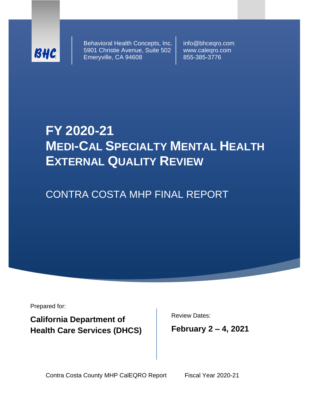

Behavioral Health Concepts, Inc. 5901 Christie Avenue, Suite 502 Emeryville, CA 94608

info@bhceqro.com www.caleqro.com 855-385-3776

# **FY 2020-21 MEDI-CAL SPECIALTY MENTAL HEALTH EXTERNAL QUALITY REVIEW**

CONTRA COSTA MHP FINAL REPORT

Prepared for:

**California Department of Health Care Services (DHCS)** Review Dates:

**February 2 – 4, 2021**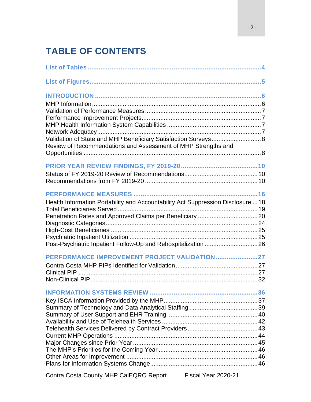# **TABLE OF CONTENTS**

| Validation of State and MHP Beneficiary Satisfaction Surveys 8<br>Review of Recommendations and Assessment of MHP Strengths and                   |  |
|---------------------------------------------------------------------------------------------------------------------------------------------------|--|
|                                                                                                                                                   |  |
| Health Information Portability and Accountability Act Suppression Disclosure  18<br>Post-Psychiatric Inpatient Follow-Up and Rehospitalization 26 |  |
| PERFORMANCE IMPROVEMENT PROJECT VALIDATION27                                                                                                      |  |
|                                                                                                                                                   |  |
| Contra Costa County MHP CalEQRO Report Fiscal Year 2020-21                                                                                        |  |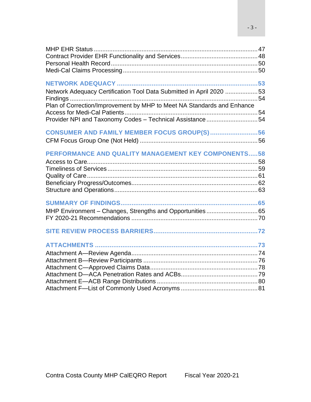| Network Adequacy Certification Tool Data Submitted in April 2020 53    |  |
|------------------------------------------------------------------------|--|
|                                                                        |  |
| Plan of Correction/Improvement by MHP to Meet NA Standards and Enhance |  |
|                                                                        |  |
| Provider NPI and Taxonomy Codes - Technical Assistance54               |  |
| CONSUMER AND FAMILY MEMBER FOCUS GROUP(S)56                            |  |
|                                                                        |  |
| <b>PERFORMANCE AND QUALITY MANAGEMENT KEY COMPONENTS58</b>             |  |
|                                                                        |  |
|                                                                        |  |
|                                                                        |  |
|                                                                        |  |
|                                                                        |  |
|                                                                        |  |
|                                                                        |  |
|                                                                        |  |
|                                                                        |  |
|                                                                        |  |
|                                                                        |  |
|                                                                        |  |
|                                                                        |  |
|                                                                        |  |
|                                                                        |  |
|                                                                        |  |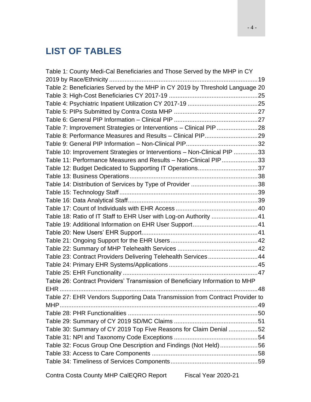# <span id="page-3-0"></span>**LIST OF TABLES**

| Table 1: County Medi-Cal Beneficiaries and Those Served by the MHP in CY     |  |
|------------------------------------------------------------------------------|--|
|                                                                              |  |
| Table 2: Beneficiaries Served by the MHP in CY 2019 by Threshold Language 20 |  |
|                                                                              |  |
|                                                                              |  |
|                                                                              |  |
|                                                                              |  |
| Table 7: Improvement Strategies or Interventions - Clinical PIP 28           |  |
|                                                                              |  |
|                                                                              |  |
| Table 10: Improvement Strategies or Interventions - Non-Clinical PIP 33      |  |
| Table 11: Performance Measures and Results - Non-Clinical PIP33              |  |
| Table 12: Budget Dedicated to Supporting IT Operations37                     |  |
|                                                                              |  |
|                                                                              |  |
|                                                                              |  |
|                                                                              |  |
|                                                                              |  |
| Table 18: Ratio of IT Staff to EHR User with Log-on Authority 41             |  |
|                                                                              |  |
|                                                                              |  |
|                                                                              |  |
|                                                                              |  |
| Table 23: Contract Providers Delivering Telehealth Services44                |  |
|                                                                              |  |
|                                                                              |  |
| Table 26: Contract Providers' Transmission of Beneficiary Information to MHP |  |
|                                                                              |  |
| Table 27: EHR Vendors Supporting Data Transmission from Contract Provider to |  |
|                                                                              |  |
|                                                                              |  |
|                                                                              |  |
| Table 30: Summary of CY 2019 Top Five Reasons for Claim Denial 52            |  |
|                                                                              |  |
| Table 32: Focus Group One Description and Findings (Not Held) 56             |  |
|                                                                              |  |
|                                                                              |  |
|                                                                              |  |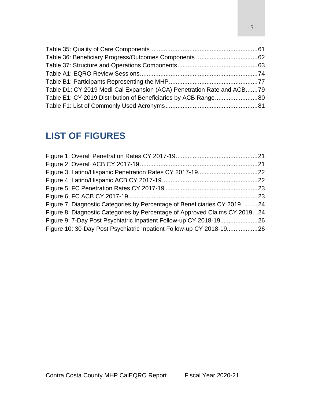| Table D1: CY 2019 Medi-Cal Expansion (ACA) Penetration Rate and ACB79 |  |
|-----------------------------------------------------------------------|--|
|                                                                       |  |
|                                                                       |  |

# <span id="page-4-0"></span>**LIST OF FIGURES**

| Figure 7: Diagnostic Categories by Percentage of Beneficiaries CY 2019 24  |  |
|----------------------------------------------------------------------------|--|
| Figure 8: Diagnostic Categories by Percentage of Approved Claims CY 201924 |  |
| Figure 9: 7-Day Post Psychiatric Inpatient Follow-up CY 2018-19 26         |  |
| Figure 10: 30-Day Post Psychiatric Inpatient Follow-up CY 2018-1926        |  |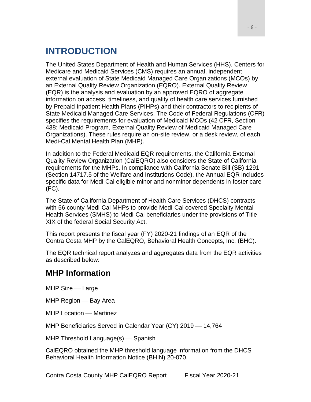# <span id="page-5-0"></span>**INTRODUCTION**

The United States Department of Health and Human Services (HHS), Centers for Medicare and Medicaid Services (CMS) requires an annual, independent external evaluation of State Medicaid Managed Care Organizations (MCOs) by an External Quality Review Organization (EQRO). External Quality Review (EQR) is the analysis and evaluation by an approved EQRO of aggregate information on access, timeliness, and quality of health care services furnished by Prepaid Inpatient Health Plans (PIHPs) and their contractors to recipients of State Medicaid Managed Care Services. The Code of Federal Regulations (CFR) specifies the requirements for evaluation of Medicaid MCOs (42 CFR, Section 438; Medicaid Program, External Quality Review of Medicaid Managed Care Organizations). These rules require an on-site review, or a desk review, of each Medi-Cal Mental Health Plan (MHP).

In addition to the Federal Medicaid EQR requirements, the California External Quality Review Organization (CalEQRO) also considers the State of California requirements for the MHPs. In compliance with California Senate Bill (SB) 1291 (Section 14717.5 of the Welfare and Institutions Code), the Annual EQR includes specific data for Medi-Cal eligible minor and nonminor dependents in foster care (FC).

The State of California Department of Health Care Services (DHCS) contracts with 56 county Medi-Cal MHPs to provide Medi-Cal covered Specialty Mental Health Services (SMHS) to Medi-Cal beneficiaries under the provisions of Title XIX of the federal Social Security Act.

This report presents the fiscal year (FY) 2020-21 findings of an EQR of the Contra Costa MHP by the CalEQRO, Behavioral Health Concepts, Inc. (BHC).

The EQR technical report analyzes and aggregates data from the EQR activities as described below:

## <span id="page-5-1"></span>**MHP Information**

 $MHP$  Size  $\_\$  Large

MHP Region – Bay Area

MHP Location – Martinez

MHP Beneficiaries Served in Calendar Year (CY) 2019 - 14,764

 $MHP$  Threshold Language $(s)$  — Spanish

CalEQRO obtained the MHP threshold language information from the DHCS Behavioral Health Information Notice (BHIN) 20-070.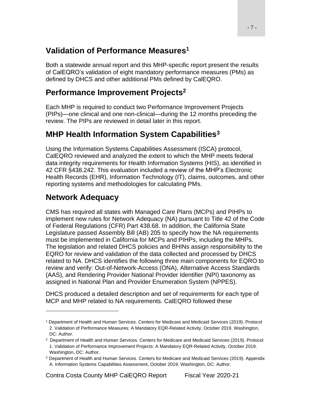# <span id="page-6-0"></span>**Validation of Performance Measures<sup>1</sup>**

Both a statewide annual report and this MHP-specific report present the results of CalEQRO's validation of eight mandatory performance measures (PMs) as defined by DHCS and other additional PMs defined by CalEQRO.

# <span id="page-6-1"></span>**Performance Improvement Projects<sup>2</sup>**

Each MHP is required to conduct two Performance Improvement Projects (PIPs)—one clinical and one non-clinical—during the 12 months preceding the review. The PIPs are reviewed in detail later in this report.

# <span id="page-6-2"></span>**MHP Health Information System Capabilities<sup>3</sup>**

Using the Information Systems Capabilities Assessment (ISCA) protocol, CalEQRO reviewed and analyzed the extent to which the MHP meets federal data integrity requirements for Health Information Systems (HIS), as identified in 42 CFR §438.242. This evaluation included a review of the MHP's Electronic Health Records (EHR), Information Technology (IT), claims, outcomes, and other reporting systems and methodologies for calculating PMs.

# <span id="page-6-3"></span>**Network Adequacy**

CMS has required all states with Managed Care Plans (MCPs) and PIHPs to implement new rules for Network Adequacy (NA) pursuant to Title 42 of the Code of Federal Regulations (CFR) Part 438.68. In addition, the California State Legislature passed Assembly Bill (AB) 205 to specify how the NA requirements must be implemented in California for MCPs and PIHPs, including the MHPs. The legislation and related DHCS policies and BHINs assign responsibility to the EQRO for review and validation of the data collected and processed by DHCS related to NA. DHCS identifies the following three main components for EQRO to review and verify: Out-of-Network-Access (ONA), Alternative Access Standards (AAS), and Rendering Provider National Provider Identifier (NPI) taxonomy as assigned in National Plan and Provider Enumeration System (NPPES).

DHCS produced a detailed description and set of requirements for each type of MCP and MHP related to NA requirements. CalEQRO followed these

<sup>1</sup> Department of Health and Human Services. Centers for Medicare and Medicaid Services (2019). Protocol 2. Validation of Performance Measures: A Mandatory EQR-Related Activity, October 2019. Washington, DC: Author.

<sup>2</sup> Department of Health and Human Services. Centers for Medicare and Medicaid Services (2019). Protocol 1. Validation of Performance Improvement Projects: A Mandatory EQR-Related Activity, October 2019. Washington, DC: Author.

<sup>&</sup>lt;sup>3</sup> Department of Health and Human Services. Centers for Medicare and Medicaid Services (2019). Appendix A. Information Systems Capabilities Assessment, October 2019. Washington, DC: Author.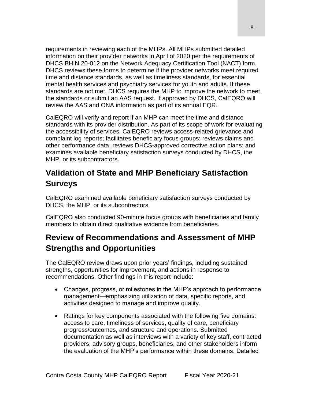requirements in reviewing each of the MHPs. All MHPs submitted detailed information on their provider networks in April of 2020 per the requirements of DHCS BHIN 20-012 on the Network Adequacy Certification Tool (NACT) form. DHCS reviews these forms to determine if the provider networks meet required time and distance standards, as well as timeliness standards, for essential mental health services and psychiatry services for youth and adults. If these standards are not met, DHCS requires the MHP to improve the network to meet the standards or submit an AAS request. If approved by DHCS, CalEQRO will review the AAS and ONA information as part of its annual EQR.

CalEQRO will verify and report if an MHP can meet the time and distance standards with its provider distribution. As part of its scope of work for evaluating the accessibility of services, CalEQRO reviews access-related grievance and complaint log reports; facilitates beneficiary focus groups; reviews claims and other performance data; reviews DHCS-approved corrective action plans; and examines available beneficiary satisfaction surveys conducted by DHCS, the MHP, or its subcontractors.

# <span id="page-7-0"></span>**Validation of State and MHP Beneficiary Satisfaction Surveys**

CalEQRO examined available beneficiary satisfaction surveys conducted by DHCS, the MHP, or its subcontractors.

CalEQRO also conducted 90-minute focus groups with beneficiaries and family members to obtain direct qualitative evidence from beneficiaries.

# <span id="page-7-1"></span>**Review of Recommendations and Assessment of MHP Strengths and Opportunities**

The CalEQRO review draws upon prior years' findings, including sustained strengths, opportunities for improvement, and actions in response to recommendations. Other findings in this report include:

- Changes, progress, or milestones in the MHP's approach to performance management—emphasizing utilization of data, specific reports, and activities designed to manage and improve quality.
- Ratings for key components associated with the following five domains: access to care, timeliness of services, quality of care, beneficiary progress/outcomes, and structure and operations. Submitted documentation as well as interviews with a variety of key staff, contracted providers, advisory groups, beneficiaries, and other stakeholders inform the evaluation of the MHP's performance within these domains. Detailed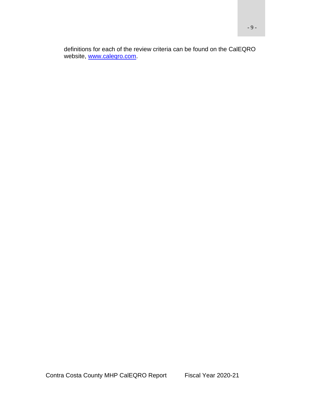definitions for each of the review criteria can be found on the CalEQRO website, www.calegro.com.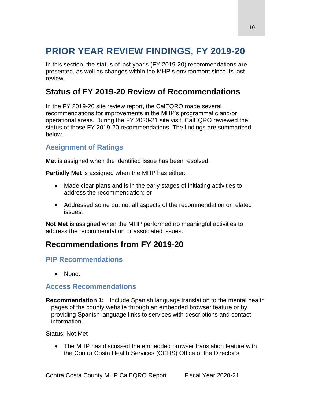# <span id="page-9-0"></span>**PRIOR YEAR REVIEW FINDINGS, FY 2019-20**

In this section, the status of last year's (FY 2019-20) recommendations are presented, as well as changes within the MHP's environment since its last review.

# <span id="page-9-1"></span>**Status of FY 2019-20 Review of Recommendations**

In the FY 2019-20 site review report, the CalEQRO made several recommendations for improvements in the MHP's programmatic and/or operational areas. During the FY 2020-21 site visit, CalEQRO reviewed the status of those FY 2019-20 recommendations. The findings are summarized below.

### **Assignment of Ratings**

**Met** is assigned when the identified issue has been resolved.

**Partially Met** is assigned when the MHP has either:

- Made clear plans and is in the early stages of initiating activities to address the recommendation; or
- Addressed some but not all aspects of the recommendation or related issues.

**Not Met** is assigned when the MHP performed no meaningful activities to address the recommendation or associated issues.

## <span id="page-9-2"></span>**Recommendations from FY 2019-20**

### **PIP Recommendations**

• None.

### **Access Recommendations**

**Recommendation 1:** Include Spanish language translation to the mental health pages of the county website through an embedded browser feature or by providing Spanish language links to services with descriptions and contact information.

Status: Not Met

• The MHP has discussed the embedded browser translation feature with the Contra Costa Health Services (CCHS) Office of the Director's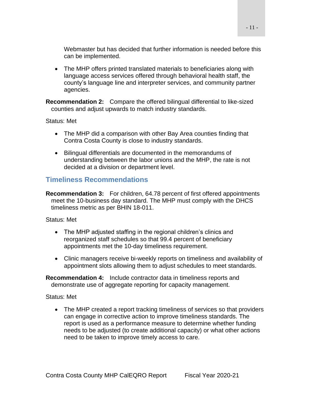Webmaster but has decided that further information is needed before this can be implemented.

• The MHP offers printed translated materials to beneficiaries along with language access services offered through behavioral health staff, the county's language line and interpreter services, and community partner agencies.

**Recommendation 2:** Compare the offered bilingual differential to like-sized counties and adjust upwards to match industry standards.

Status: Met

- The MHP did a comparison with other Bay Area counties finding that Contra Costa County is close to industry standards.
- Bilingual differentials are documented in the memorandums of understanding between the labor unions and the MHP, the rate is not decided at a division or department level.

### **Timeliness Recommendations**

**Recommendation 3:** For children, 64.78 percent of first offered appointments meet the 10-business day standard. The MHP must comply with the DHCS timeliness metric as per BHIN 18-011.

Status: Met

- The MHP adjusted staffing in the regional children's clinics and reorganized staff schedules so that 99.4 percent of beneficiary appointments met the 10-day timeliness requirement.
- Clinic managers receive bi-weekly reports on timeliness and availability of appointment slots allowing them to adjust schedules to meet standards.

**Recommendation 4:** Include contractor data in timeliness reports and demonstrate use of aggregate reporting for capacity management.

Status: Met

• The MHP created a report tracking timeliness of services so that providers can engage in corrective action to improve timeliness standards. The report is used as a performance measure to determine whether funding needs to be adjusted (to create additional capacity) or what other actions need to be taken to improve timely access to care.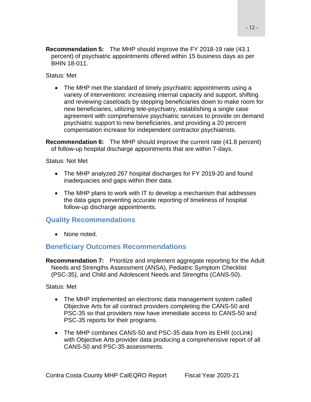**Recommendation 5:** The MHP should improve the FY 2018-19 rate (43.1 percent) of psychiatric appointments offered within 15 business days as per BHIN 18-011.

Status: Met

• The MHP met the standard of timely psychiatric appointments using a variety of interventions: increasing internal capacity and support, shifting and reviewing caseloads by stepping beneficiaries down to make room for new beneficiaries, utilizing tele-psychiatry, establishing a single case agreement with comprehensive psychiatric services to provide on demand psychiatric support to new beneficiaries, and providing a 20 percent compensation increase for independent contractor psychiatrists.

**Recommendation 6:** The MHP should improve the current rate (41.8 percent) of follow-up hospital discharge appointments that are within 7-days.

Status: Not Met

- The MHP analyzed 267 hospital discharges for FY 2019-20 and found inadequacies and gaps within their data.
- The MHP plans to work with IT to develop a mechanism that addresses the data gaps preventing accurate reporting of timeliness of hospital follow-up discharge appointments.

### **Quality Recommendations**

• None noted.

### **Beneficiary Outcomes Recommendations**

**Recommendation 7:** Prioritize and implement aggregate reporting for the Adult Needs and Strengths Assessment (ANSA), Pediatric Symptom Checklist (PSC-35), and Child and Adolescent Needs and Strengths (CANS-50).

- The MHP implemented an electronic data management system called Objective Arts for all contract providers completing the CANS-50 and PSC-35 so that providers now have immediate access to CANS-50 and PSC-35 reports for their programs.
- The MHP combines CANS-50 and PSC-35 data from its EHR (ccLink) with Objective Arts provider data producing a comprehensive report of all CANS-50 and PSC-35 assessments.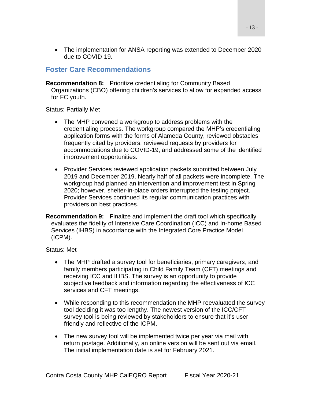• The implementation for ANSA reporting was extended to December 2020 due to COVID-19.

### **Foster Care Recommendations**

**Recommendation 8:** Prioritize credentialing for Community Based Organizations (CBO) offering children's services to allow for expanded access for FC youth.

Status: Partially Met

- The MHP convened a workgroup to address problems with the credentialing process. The workgroup compared the MHP's credentialing application forms with the forms of Alameda County, reviewed obstacles frequently cited by providers, reviewed requests by providers for accommodations due to COVID-19, and addressed some of the identified improvement opportunities.
- Provider Services reviewed application packets submitted between July 2019 and December 2019. Nearly half of all packets were incomplete. The workgroup had planned an intervention and improvement test in Spring 2020; however, shelter-in-place orders interrupted the testing project. Provider Services continued its regular communication practices with providers on best practices.
- **Recommendation 9:** Finalize and implement the draft tool which specifically evaluates the fidelity of Intensive Care Coordination (ICC) and In-home Based Services (IHBS) in accordance with the Integrated Core Practice Model (ICPM).

- The MHP drafted a survey tool for beneficiaries, primary caregivers, and family members participating in Child Family Team (CFT) meetings and receiving ICC and IHBS. The survey is an opportunity to provide subjective feedback and information regarding the effectiveness of ICC services and CFT meetings.
- While responding to this recommendation the MHP reevaluated the survey tool deciding it was too lengthy. The newest version of the ICC/CFT survey tool is being reviewed by stakeholders to ensure that it's user friendly and reflective of the ICPM.
- The new survey tool will be implemented twice per year via mail with return postage. Additionally, an online version will be sent out via email. The initial implementation date is set for February 2021.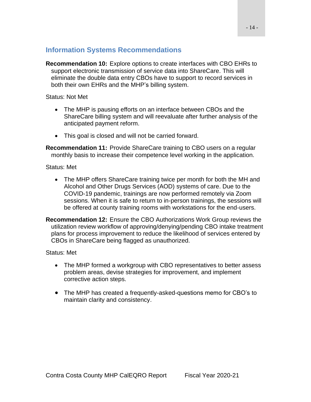### **Information Systems Recommendations**

**Recommendation 10:** Explore options to create interfaces with CBO EHRs to support electronic transmission of service data into ShareCare. This will eliminate the double data entry CBOs have to support to record services in both their own EHRs and the MHP's billing system.

Status: Not Met

- The MHP is pausing efforts on an interface between CBOs and the ShareCare billing system and will reevaluate after further analysis of the anticipated payment reform.
- This goal is closed and will not be carried forward.

**Recommendation 11:** Provide ShareCare training to CBO users on a regular monthly basis to increase their competence level working in the application.

Status: Met

- The MHP offers ShareCare training twice per month for both the MH and Alcohol and Other Drugs Services (AOD) systems of care. Due to the COVID-19 pandemic, trainings are now performed remotely via Zoom sessions. When it is safe to return to in-person trainings, the sessions will be offered at county training rooms with workstations for the end-users.
- **Recommendation 12:** Ensure the CBO Authorizations Work Group reviews the utilization review workflow of approving/denying/pending CBO intake treatment plans for process improvement to reduce the likelihood of services entered by CBOs in ShareCare being flagged as unauthorized.

- The MHP formed a workgroup with CBO representatives to better assess problem areas, devise strategies for improvement, and implement corrective action steps.
- The MHP has created a frequently-asked-questions memo for CBO's to maintain clarity and consistency.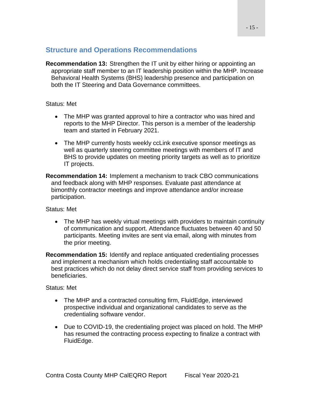### **Structure and Operations Recommendations**

**Recommendation 13:** Strengthen the IT unit by either hiring or appointing an appropriate staff member to an IT leadership position within the MHP. Increase Behavioral Health Systems (BHS) leadership presence and participation on both the IT Steering and Data Governance committees.

#### Status: Met

- The MHP was granted approval to hire a contractor who was hired and reports to the MHP Director. This person is a member of the leadership team and started in February 2021.
- The MHP currently hosts weekly ccLink executive sponsor meetings as well as quarterly steering committee meetings with members of IT and BHS to provide updates on meeting priority targets as well as to prioritize IT projects.
- **Recommendation 14:** Implement a mechanism to track CBO communications and feedback along with MHP responses. Evaluate past attendance at bimonthly contractor meetings and improve attendance and/or increase participation.

Status: Met

• The MHP has weekly virtual meetings with providers to maintain continuity of communication and support. Attendance fluctuates between 40 and 50 participants. Meeting invites are sent via email, along with minutes from the prior meeting.

**Recommendation 15:** Identify and replace antiquated credentialing processes and implement a mechanism which holds credentialing staff accountable to best practices which do not delay direct service staff from providing services to beneficiaries.

- The MHP and a contracted consulting firm, FluidEdge, interviewed prospective individual and organizational candidates to serve as the credentialing software vendor.
- Due to COVID-19, the credentialing project was placed on hold. The MHP has resumed the contracting process expecting to finalize a contract with FluidEdge.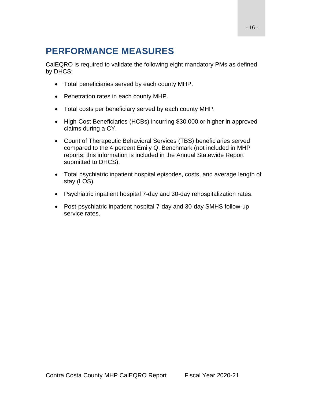# <span id="page-15-0"></span>**PERFORMANCE MEASURES**

CalEQRO is required to validate the following eight mandatory PMs as defined by DHCS:

- Total beneficiaries served by each county MHP.
- Penetration rates in each county MHP.
- Total costs per beneficiary served by each county MHP.
- High-Cost Beneficiaries (HCBs) incurring \$30,000 or higher in approved claims during a CY.
- Count of Therapeutic Behavioral Services (TBS) beneficiaries served compared to the 4 percent Emily Q. Benchmark (not included in MHP reports; this information is included in the Annual Statewide Report submitted to DHCS).
- Total psychiatric inpatient hospital episodes, costs, and average length of stay (LOS).
- Psychiatric inpatient hospital 7-day and 30-day rehospitalization rates.
- Post-psychiatric inpatient hospital 7-day and 30-day SMHS follow-up service rates.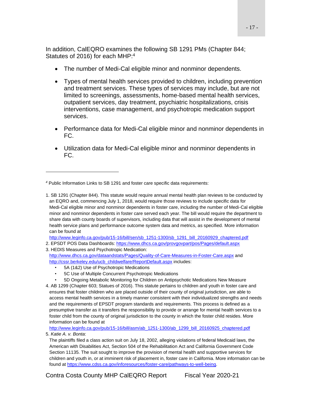In addition, CalEQRO examines the following SB 1291 PMs (Chapter 844; Statutes of 2016) for each MHP:<sup>4</sup>

- The number of Medi-Cal eligible minor and nonminor dependents.
- Types of mental health services provided to children, including prevention and treatment services. These types of services may include, but are not limited to screenings, assessments, home-based mental health services, outpatient services, day treatment, psychiatric hospitalizations, crisis interventions, case management, and psychotropic medication support services.
- Performance data for Medi-Cal eligible minor and nonminor dependents in FC.
- Utilization data for Medi-Cal eligible minor and nonminor dependents in FC.

[http://www.leginfo.ca.gov/pub/15-16/bill/sen/sb\\_1251-1300/sb\\_1291\\_bill\\_20160929\\_chaptered.pdf](http://www.leginfo.ca.gov/pub/15-16/bill/sen/sb_1251-1300/sb_1291_bill_20160929_chaptered.pdf)

2. EPSDT POS Data Dashboards: <https://www.dhcs.ca.gov/provgovpart/pos/Pages/default.aspx>

3. HEDIS Measures and Psychotropic Medication: <http://www.dhcs.ca.gov/dataandstats/Pages/Quality-of-Care-Measures-in-Foster-Care.aspx> and [http://cssr.berkeley.edu/ucb\\_childwelfare/ReportDefault.aspx](http://cssr.berkeley.edu/ucb_childwelfare/ReportDefault.aspx) includes:

- 5A (1&2) Use of Psychotropic Medications
- 5C Use of Multiple Concurrent Psychotropic Medications
- 5D Ongoing Metabolic Monitoring for Children on Antipsychotic Medications New Measure
- 4. AB 1299 (Chapter 603; Statues of 2016). This statute pertains to children and youth in foster care and ensures that foster children who are placed outside of their county of original jurisdiction, are able to access mental health services in a timely manner consistent with their individualized strengths and needs and the requirements of EPSDT program standards and requirements. This process is defined as a presumptive transfer as it transfers the responsibility to provide or arrange for mental health services to a foster child from the county of original jurisdiction to the county in which the foster child resides. More information can be found at

[http://www.leginfo.ca.gov/pub/15-16/bill/asm/ab\\_1251-1300/ab\\_1299\\_bill\\_20160925\\_chaptered.pdf](http://www.leginfo.ca.gov/pub/15-16/bill/asm/ab_1251-1300/ab_1299_bill_20160925_chaptered.pdf) 5. *Katie A. v. Bonta*:

*<sup>4</sup>* Public Information Links to SB 1291 and foster care specific data requirements:

<sup>1.</sup> SB 1291 (Chapter 844). This statute would require annual mental health plan reviews to be conducted by an EQRO and, commencing July 1, 2018, would require those reviews to include specific data for Medi-Cal eligible minor and nonminor dependents in foster care, including the number of Medi-Cal eligible minor and nonminor dependents in foster care served each year. The bill would require the department to share data with county boards of supervisors, including data that will assist in the development of mental health service plans and performance outcome system data and metrics, as specified. More information can be found at

The plaintiffs filed a class action suit on July 18, 2002, alleging violations of federal Medicaid laws, the American with Disabilities Act, Section 504 of the Rehabilitation Act and California Government Code Section 11135. The suit sought to improve the provision of mental health and supportive services for children and youth in, or at imminent risk of placement in, foster care in California. More information can be found at [https://www.cdss.ca.gov/inforesources/foster-care/pathways-to-well-being.](https://www.cdss.ca.gov/inforesources/foster-care/pathways-to-well-being)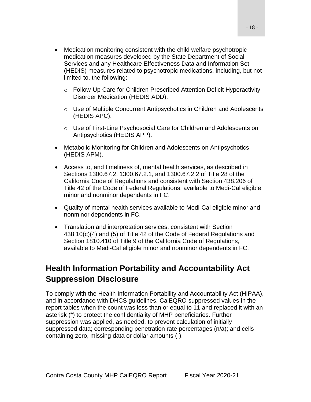- Medication monitoring consistent with the child welfare psychotropic medication measures developed by the State Department of Social Services and any Healthcare Effectiveness Data and Information Set (HEDIS) measures related to psychotropic medications, including, but not limited to, the following:
	- o Follow-Up Care for Children Prescribed Attention Deficit Hyperactivity Disorder Medication (HEDIS ADD).
	- o Use of Multiple Concurrent Antipsychotics in Children and Adolescents (HEDIS APC).
	- o Use of First-Line Psychosocial Care for Children and Adolescents on Antipsychotics (HEDIS APP).
- Metabolic Monitoring for Children and Adolescents on Antipsychotics (HEDIS APM).
- Access to, and timeliness of, mental health services, as described in Sections 1300.67.2, 1300.67.2.1, and 1300.67.2.2 of Title 28 of the California Code of Regulations and consistent with Section 438.206 of Title 42 of the Code of Federal Regulations, available to Medi-Cal eligible minor and nonminor dependents in FC.
- Quality of mental health services available to Medi-Cal eligible minor and nonminor dependents in FC.
- Translation and interpretation services, consistent with Section 438.10(c)(4) and (5) of Title 42 of the Code of Federal Regulations and Section 1810.410 of Title 9 of the California Code of Regulations, available to Medi-Cal eligible minor and nonminor dependents in FC.

# <span id="page-17-0"></span>**Health Information Portability and Accountability Act Suppression Disclosure**

To comply with the Health Information Portability and Accountability Act (HIPAA), and in accordance with DHCS guidelines, CalEQRO suppressed values in the report tables when the count was less than or equal to 11 and replaced it with an asterisk (\*) to protect the confidentiality of MHP beneficiaries. Further suppression was applied, as needed, to prevent calculation of initially suppressed data; corresponding penetration rate percentages (n/a); and cells containing zero, missing data or dollar amounts (-).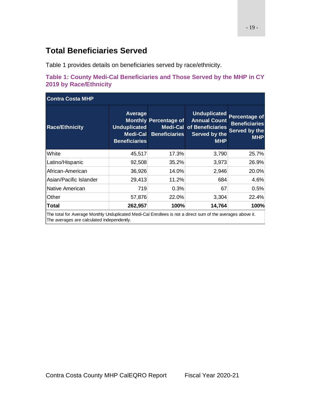# <span id="page-18-0"></span>**Total Beneficiaries Served**

Table 1 provides details on beneficiaries served by race/ethnicity.

<span id="page-18-1"></span>

|                               |  | Table 1: County Medi-Cal Beneficiaries and Those Served by the MHP in CY |  |
|-------------------------------|--|--------------------------------------------------------------------------|--|
| <b>2019 by Race/Ethnicity</b> |  |                                                                          |  |

| <b>Average</b>                              |                      |                                                                                                                                                                  |                                                                      |
|---------------------------------------------|----------------------|------------------------------------------------------------------------------------------------------------------------------------------------------------------|----------------------------------------------------------------------|
| <b>Unduplicated</b><br><b>Beneficiaries</b> | <b>Beneficiaries</b> | <b>Annual Count</b><br>of Beneficiaries<br>Served by the<br><b>MHP</b>                                                                                           | Percentage of<br><b>Beneficiaries</b><br>Served by the<br><b>MHP</b> |
| 45,517                                      | 17.3%                | 3,790                                                                                                                                                            | 25.7%                                                                |
| 92,508                                      | 35.2%                | 3,973                                                                                                                                                            | 26.9%                                                                |
| 36,926                                      | 14.0%                | 2,946                                                                                                                                                            | 20.0%                                                                |
| 29,413                                      | 11.2%                | 684                                                                                                                                                              | 4.6%                                                                 |
| 719                                         | 0.3%                 | 67                                                                                                                                                               | 0.5%                                                                 |
| 57,876                                      | 22.0%                | 3,304                                                                                                                                                            | 22.4%                                                                |
| 262,957                                     | 100%                 | 14,764                                                                                                                                                           | 100%                                                                 |
|                                             |                      | <b>Monthly Percentage of</b><br>Medi-Cal<br>للترميط ومستحسنات والتلو ومسرو فيحسام والمتمرح وحمالوسه المكار المحامل الملاسات الباطنية والمستحسنية المتحل وبالتالي | <b>Unduplicated</b><br><b>Medi-Cal</b>                               |

The total for Average Monthly Unduplicated Medi-Cal Enrollees is not a direct sum of the averages above it. The averages are calculated independently.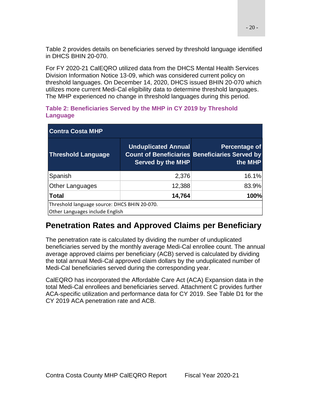Table 2 provides details on beneficiaries served by threshold language identified in DHCS BHIN 20-070.

For FY 2020-21 CalEQRO utilized data from the DHCS Mental Health Services Division Information Notice 13-09, which was considered current policy on threshold languages. On December 14, 2020, DHCS issued BHIN 20-070 which utilizes more current Medi-Cal eligibility data to determine threshold languages. The MHP experienced no change in threshold languages during this period.

| <b>Contra Costa MHP</b>                      |                                                        |                                                                                   |  |  |  |
|----------------------------------------------|--------------------------------------------------------|-----------------------------------------------------------------------------------|--|--|--|
| <b>Threshold Language</b>                    | <b>Unduplicated Annual</b><br><b>Served by the MHP</b> | Percentage of<br><b>Count of Beneficiaries Beneficiaries Served by</b><br>the MHP |  |  |  |
| Spanish                                      | 2,376                                                  | 16.1%                                                                             |  |  |  |
| <b>Other Languages</b>                       | 12,388                                                 | 83.9%                                                                             |  |  |  |
| <b>Total</b>                                 | 14,764                                                 | 100%                                                                              |  |  |  |
| Threshold language source: DHCS BHIN 20-070. |                                                        |                                                                                   |  |  |  |
| Other Languages include English              |                                                        |                                                                                   |  |  |  |

#### <span id="page-19-1"></span>**Table 2: Beneficiaries Served by the MHP in CY 2019 by Threshold Language**

# <span id="page-19-0"></span>**Penetration Rates and Approved Claims per Beneficiary**

The penetration rate is calculated by dividing the number of unduplicated beneficiaries served by the monthly average Medi-Cal enrollee count. The annual average approved claims per beneficiary (ACB) served is calculated by dividing the total annual Medi-Cal approved claim dollars by the unduplicated number of Medi-Cal beneficiaries served during the corresponding year.

CalEQRO has incorporated the Affordable Care Act (ACA) Expansion data in the total Medi-Cal enrollees and beneficiaries served. Attachment C provides further ACA-specific utilization and performance data for CY 2019. See Table D1 for the CY 2019 ACA penetration rate and ACB.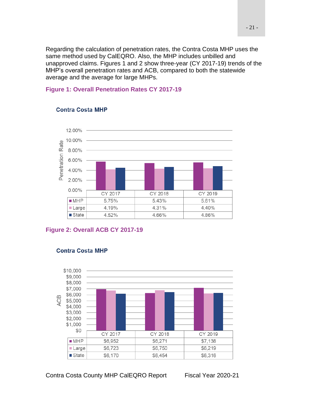Regarding the calculation of penetration rates, the Contra Costa MHP uses the same method used by CalEQRO. Also, the MHP includes unbilled and unapproved claims. Figures 1 and 2 show three-year (CY 2017-19) trends of the MHP's overall penetration rates and ACB, compared to both the statewide average and the average for large MHPs.

#### <span id="page-20-0"></span>**Figure 1: Overall Penetration Rates CY 2017-19**



#### **Contra Costa MHP**

#### <span id="page-20-1"></span>**Figure 2: Overall ACB CY 2017-19**



#### **Contra Costa MHP**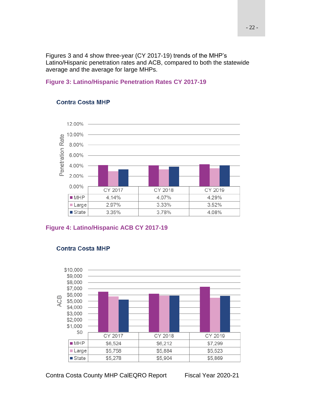Figures 3 and 4 show three-year (CY 2017-19) trends of the MHP's Latino/Hispanic penetration rates and ACB, compared to both the statewide average and the average for large MHPs.

#### <span id="page-21-0"></span>**Figure 3: Latino/Hispanic Penetration Rates CY 2017-19**



#### **Contra Costa MHP**

#### <span id="page-21-1"></span>**Figure 4: Latino/Hispanic ACB CY 2017-19**



#### **Contra Costa MHP**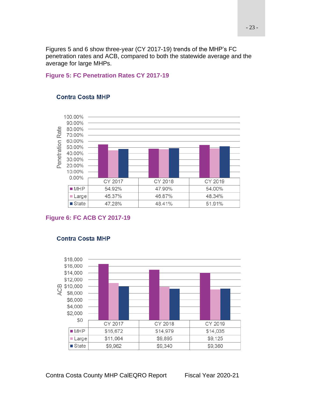Figures 5 and 6 show three-year (CY 2017-19) trends of the MHP's FC penetration rates and ACB, compared to both the statewide average and the average for large MHPs.

#### <span id="page-22-0"></span>**Figure 5: FC Penetration Rates CY 2017-19**



#### **Contra Costa MHP**

#### <span id="page-22-1"></span>**Figure 6: FC ACB CY 2017-19**



#### **Contra Costa MHP**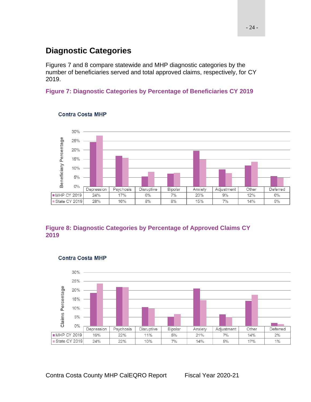# <span id="page-23-0"></span>**Diagnostic Categories**

Figures 7 and 8 compare statewide and MHP diagnostic categories by the number of beneficiaries served and total approved claims, respectively, for CY 2019.

### <span id="page-23-1"></span>**Figure 7: Diagnostic Categories by Percentage of Beneficiaries CY 2019**



#### **Contra Costa MHP**

### <span id="page-23-2"></span>**Figure 8: Diagnostic Categories by Percentage of Approved Claims CY 2019**



#### **Contra Costa MHP**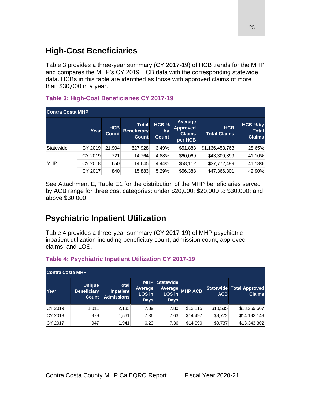# <span id="page-24-0"></span>**High-Cost Beneficiaries**

Table 3 provides a three-year summary (CY 2017-19) of HCB trends for the MHP and compares the MHP's CY 2019 HCB data with the corresponding statewide data. HCBs in this table are identified as those with approved claims of more than \$30,000 in a year.

### <span id="page-24-2"></span>**Table 3: High-Cost Beneficiaries CY 2017-19**

| <b>Contra Costa MHP</b> |         |                            |                                             |                                        |                                                        |                                   |                                           |
|-------------------------|---------|----------------------------|---------------------------------------------|----------------------------------------|--------------------------------------------------------|-----------------------------------|-------------------------------------------|
|                         | Year    | <b>HCB</b><br><b>Count</b> | <b>Total</b><br><b>Beneficiary</b><br>Count | HCB <sub>%</sub><br>by<br><b>Count</b> | Average<br><b>Approved</b><br><b>Claims</b><br>per HCB | <b>HCB</b><br><b>Total Claims</b> | HCB % by<br><b>Total</b><br><b>Claims</b> |
| Statewide               | CY 2019 | 21.904                     | 627,928                                     | 3.49%                                  | \$51,883                                               | \$1,136,453,763                   | 28.65%                                    |
|                         | CY 2019 | 721                        | 14,764                                      | 4.88%                                  | \$60,069                                               | \$43,309,899                      | 41.10%                                    |
| <b>MHP</b>              | CY 2018 | 650                        | 14,645                                      | 4.44%                                  | \$58,112                                               | \$37,772,499                      | 41.13%                                    |
|                         | CY 2017 | 840                        | 15,883                                      | 5.29%                                  | \$56,388                                               | \$47,366,301                      | 42.90%                                    |

See Attachment E, Table E1 for the distribution of the MHP beneficiaries served by ACB range for three cost categories: under \$20,000; \$20,000 to \$30,000; and above \$30,000.

# <span id="page-24-1"></span>**Psychiatric Inpatient Utilization**

Table 4 provides a three-year summary (CY 2017-19) of MHP psychiatric inpatient utilization including beneficiary count, admission count, approved claims, and LOS.

|         | <b>Contra Costa MHP</b>                      |                                                       |                                                |                                                             |                |            |                                                  |
|---------|----------------------------------------------|-------------------------------------------------------|------------------------------------------------|-------------------------------------------------------------|----------------|------------|--------------------------------------------------|
| Year    | <b>Unique</b><br><b>Beneficiary</b><br>Count | <b>Total</b><br><b>Inpatient</b><br><b>Admissions</b> | <b>MHP</b><br>Average<br>LOS in<br><b>Days</b> | <b>Statewide</b><br><b>Average</b><br>LOS in<br><b>Days</b> | <b>MHP ACB</b> | <b>ACB</b> | <b>Statewide Total Approved</b><br><b>Claims</b> |
| CY 2019 | 1.011                                        | 2,133                                                 | 7.39                                           | 7.80                                                        | \$13,115       | \$10,535   | \$13,259,607                                     |
| CY 2018 | 979                                          | 1,561                                                 | 7.36                                           | 7.63                                                        | \$14,497       | \$9,772    | \$14,192,149                                     |
| CY 2017 | 947                                          | 1.941                                                 | 6.23                                           | 7.36                                                        | \$14,090       | \$9,737    | \$13,343,302                                     |

### <span id="page-24-3"></span>**Table 4: Psychiatric Inpatient Utilization CY 2017-19**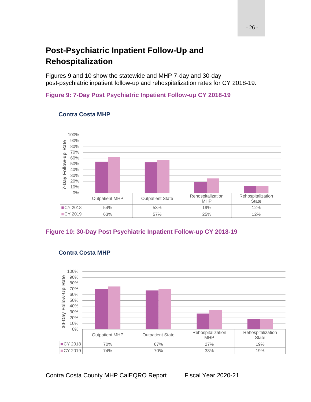# <span id="page-25-0"></span>**Post-Psychiatric Inpatient Follow-Up and Rehospitalization**

Figures 9 and 10 show the statewide and MHP 7-day and 30-day post-psychiatric inpatient follow-up and rehospitalization rates for CY 2018-19.

#### <span id="page-25-1"></span>**Figure 9: 7-Day Post Psychiatric Inpatient Follow-up CY 2018-19**



#### **Contra Costa MHP**

### <span id="page-25-2"></span>**Figure 10: 30-Day Post Psychiatric Inpatient Follow-up CY 2018-19**



### **Contra Costa MHP**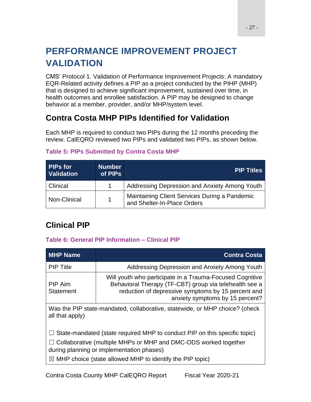# <span id="page-26-0"></span>**PERFORMANCE IMPROVEMENT PROJECT VALIDATION**

CMS' Protocol 1. Validation of Performance Improvement Projects: A mandatory EQR-Related activity defines a PIP as a project conducted by the PIHP (MHP) that is designed to achieve significant improvement, sustained over time, in health outcomes and enrollee satisfaction. A PIP may be designed to change behavior at a member, provider, and/or MHP/system level.

# <span id="page-26-1"></span>**Contra Costa MHP PIPs Identified for Validation**

Each MHP is required to conduct two PIPs during the 12 months preceding the review. CalEQRO reviewed two PIPs and validated two PIPs, as shown below.

| <b>PIPs for</b><br><b>Validation</b> | <b>Number</b><br>of PIPs | <b>PIP Titles</b>                                                            |
|--------------------------------------|--------------------------|------------------------------------------------------------------------------|
| <b>Clinical</b>                      |                          | Addressing Depression and Anxiety Among Youth                                |
| Non-Clinical                         | 1                        | Maintaining Client Services During a Pandemic<br>and Shelter-In-Place Orders |

### <span id="page-26-3"></span>**Table 5: PIPs Submitted by Contra Costa MHP**

# <span id="page-26-2"></span>**Clinical PIP**

### <span id="page-26-4"></span>**Table 6: General PIP Information – Clinical PIP**

| <b>MHP Name</b>             | <b>Contra Costa</b>                                                                                                                                                                                                                                                             |
|-----------------------------|---------------------------------------------------------------------------------------------------------------------------------------------------------------------------------------------------------------------------------------------------------------------------------|
| <b>PIP Title</b>            | Addressing Depression and Anxiety Among Youth                                                                                                                                                                                                                                   |
| PIP Aim<br><b>Statement</b> | Will youth who participate in a Trauma-Focused Cognitive<br>Behavioral Therapy (TF-CBT) group via telehealth see a<br>reduction of depressive symptoms by 15 percent and<br>anxiety symptoms by 15 percent?                                                                     |
| all that apply)             | Was the PIP state-mandated, collaborative, statewide, or MHP choice? (check                                                                                                                                                                                                     |
|                             | $\Box$ State-mandated (state required MHP to conduct PIP on this specific topic)<br>$\Box$ Collaborative (multiple MHPs or MHP and DMC-ODS worked together<br>during planning or implementation phases)<br>$\boxtimes$ MHP choice (state allowed MHP to identify the PIP topic) |
|                             |                                                                                                                                                                                                                                                                                 |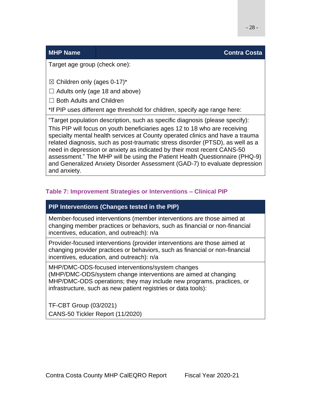#### **MHP Name Contra Costa**

Target age group (check one):

 $\boxtimes$  Children only (ages 0-17)\*

 $\Box$  Adults only (age 18 and above)

□ Both Adults and Children

\*If PIP uses different age threshold for children, specify age range here:

"Target population description, such as specific diagnosis (please specify): This PIP will focus on youth beneficiaries ages 12 to 18 who are receiving specialty mental health services at County operated clinics and have a trauma related diagnosis, such as post-traumatic stress disorder (PTSD), as well as a need in depression or anxiety as indicated by their most recent CANS-50 assessment." The MHP will be using the Patient Health Questionnaire (PHQ-9) and Generalized Anxiety Disorder Assessment (GAD-7) to evaluate depression and anxiety.

### <span id="page-27-0"></span>**Table 7: Improvement Strategies or Interventions – Clinical PIP**

### **PIP Interventions (Changes tested in the PIP)**

Member-focused interventions (member interventions are those aimed at changing member practices or behaviors, such as financial or non-financial incentives, education, and outreach): n/a

Provider-focused interventions (provider interventions are those aimed at changing provider practices or behaviors, such as financial or non-financial incentives, education, and outreach): n/a

MHP/DMC-ODS-focused interventions/system changes (MHP/DMC-ODS/system change interventions are aimed at changing MHP/DMC-ODS operations; they may include new programs, practices, or infrastructure, such as new patient registries or data tools):

TF-CBT Group (03/2021) CANS-50 Tickler Report (11/2020)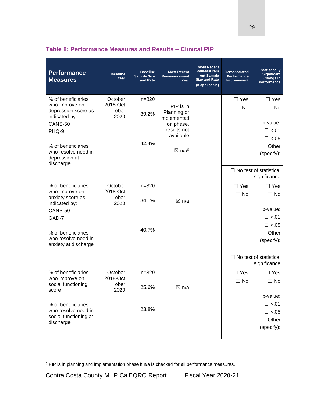| <b>Performance</b><br><b>Measures</b>       | <b>Baseline</b><br>Year | <b>Baseline</b><br><b>Sample Size</b><br>and Rate | <b>Most Recent</b><br>Remeasurement<br>Year | <b>Most Recent</b><br>Remeasurem<br>ent Sample<br><b>Size and Rate</b><br>(if applicable) | <b>Demonstrated</b><br>Performance<br>Improvement | <b>Statistically</b><br>Significant<br>Change in<br>Performance |
|---------------------------------------------|-------------------------|---------------------------------------------------|---------------------------------------------|-------------------------------------------------------------------------------------------|---------------------------------------------------|-----------------------------------------------------------------|
| % of beneficiaries<br>who improve on        | October<br>2018-Oct     | $n = 320$                                         | PIP is in                                   |                                                                                           | $\Box$ Yes                                        | $\Box$ Yes                                                      |
| depression score as<br>indicated by:        | ober<br>2020            | 39.2%                                             | Planning or<br>implementati                 |                                                                                           | $\Box$ No                                         | $\Box$ No                                                       |
| CANS-50                                     |                         |                                                   | on phase,                                   |                                                                                           |                                                   | p-value:                                                        |
| PHQ-9                                       |                         |                                                   | results not<br>available                    |                                                                                           |                                                   | $\Box$ <.01                                                     |
|                                             |                         | 42.4%                                             |                                             |                                                                                           |                                                   | $\Box$ <.05                                                     |
| % of beneficiaries<br>who resolve need in   |                         |                                                   | $\boxtimes$ n/a <sup>5</sup>                |                                                                                           |                                                   | Other<br>(specify):                                             |
| depression at<br>discharge                  |                         |                                                   |                                             |                                                                                           |                                                   |                                                                 |
|                                             |                         |                                                   |                                             |                                                                                           |                                                   | $\Box$ No test of statistical                                   |
|                                             |                         |                                                   |                                             |                                                                                           |                                                   | significance                                                    |
| % of beneficiaries<br>who improve on        | October<br>2018-Oct     | $n = 320$                                         |                                             |                                                                                           | $\Box$ Yes<br>$\Box$ No                           | $\Box$ Yes<br>$\Box$ No                                         |
| anxiety score as                            | ober                    | 34.1%                                             | ⊠ n/a                                       |                                                                                           |                                                   |                                                                 |
| indicated by:<br>CANS-50                    | 2020                    |                                                   |                                             |                                                                                           |                                                   | p-value:                                                        |
| GAD-7                                       |                         |                                                   |                                             |                                                                                           |                                                   | $\Box$ <.01                                                     |
|                                             |                         |                                                   |                                             |                                                                                           |                                                   | $\Box$ <.05                                                     |
| % of beneficiaries                          |                         | 40.7%                                             |                                             |                                                                                           |                                                   | Other                                                           |
| who resolve need in<br>anxiety at discharge |                         |                                                   |                                             |                                                                                           |                                                   | (specify):                                                      |
|                                             |                         |                                                   |                                             |                                                                                           |                                                   | $\Box$ No test of statistical                                   |
|                                             |                         |                                                   |                                             |                                                                                           |                                                   | significance                                                    |
| % of beneficiaries                          | October                 | $n = 320$                                         |                                             |                                                                                           | $\Box$ Yes                                        | $\Box$ Yes                                                      |
| who improve on<br>social functioning        | 2018-Oct<br>ober        |                                                   |                                             |                                                                                           | $\Box$ No                                         | $\Box$ No                                                       |
| score                                       | 2020                    | 25.6%                                             | $\boxtimes$ n/a                             |                                                                                           |                                                   |                                                                 |
|                                             |                         |                                                   |                                             |                                                                                           |                                                   | p-value:                                                        |
| % of beneficiaries<br>who resolve need in   |                         | 23.8%                                             |                                             |                                                                                           |                                                   | $\Box$ <.01<br>$\Box$ <.05                                      |
| social functioning at                       |                         |                                                   |                                             |                                                                                           |                                                   | Other                                                           |
| discharge                                   |                         |                                                   |                                             |                                                                                           |                                                   | (specify):                                                      |
|                                             |                         |                                                   |                                             |                                                                                           |                                                   |                                                                 |

### <span id="page-28-0"></span>**Table 8: Performance Measures and Results – Clinical PIP**

<sup>5</sup> PIP is in planning and implementation phase if n/a is checked for all performance measures.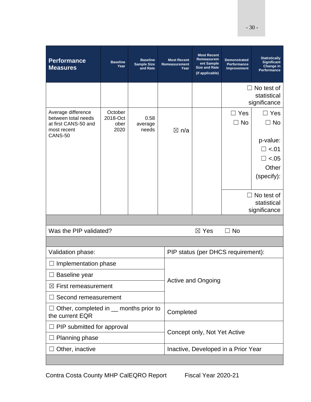| <b>Performance</b><br><b>Measures</b>                                                       | <b>Baseline</b><br>Year             | <b>Baseline</b><br><b>Sample Size</b><br>and Rate | <b>Most Recent</b><br><b>Remeasurement</b><br>Year | <b>Most Recent</b><br>Remeasurem<br>ent Sample<br><b>Size and Rate</b><br>(if applicable) | <b>Demonstrated</b><br>Performance<br><b>Improvement</b> | <b>Statistically</b><br><b>Significant</b><br>Change in<br>Performance |  |
|---------------------------------------------------------------------------------------------|-------------------------------------|---------------------------------------------------|----------------------------------------------------|-------------------------------------------------------------------------------------------|----------------------------------------------------------|------------------------------------------------------------------------|--|
|                                                                                             |                                     |                                                   |                                                    |                                                                                           |                                                          | $\Box$ No test of<br>statistical<br>significance                       |  |
| Average difference<br>between total needs<br>at first CANS-50 and<br>most recent<br>CANS-50 | October<br>2018-Oct<br>ober<br>2020 | 0.58<br>average<br>needs                          | $\boxtimes$ n/a                                    |                                                                                           | $\Box$ Yes<br>$\Box$ No                                  | $\Box$ Yes<br>$\Box$ No<br>p-value:                                    |  |
|                                                                                             |                                     |                                                   |                                                    |                                                                                           |                                                          | $\square$ <.01                                                         |  |
|                                                                                             |                                     |                                                   |                                                    |                                                                                           |                                                          | $\Box$ <.05                                                            |  |
|                                                                                             |                                     |                                                   |                                                    |                                                                                           |                                                          | Other                                                                  |  |
|                                                                                             |                                     |                                                   |                                                    |                                                                                           |                                                          | (specify):                                                             |  |
|                                                                                             |                                     |                                                   |                                                    |                                                                                           |                                                          | $\Box$ No test of                                                      |  |
|                                                                                             |                                     |                                                   |                                                    |                                                                                           |                                                          | statistical                                                            |  |
|                                                                                             |                                     |                                                   |                                                    |                                                                                           |                                                          | significance                                                           |  |
| Was the PIP validated?                                                                      |                                     | $\boxtimes$ Yes                                   | $\Box$ No                                          |                                                                                           |                                                          |                                                                        |  |
|                                                                                             |                                     |                                                   |                                                    |                                                                                           |                                                          |                                                                        |  |
| Validation phase:                                                                           |                                     |                                                   |                                                    |                                                                                           | PIP status (per DHCS requirement):                       |                                                                        |  |
| Implementation phase                                                                        |                                     |                                                   |                                                    | <b>Active and Ongoing</b>                                                                 |                                                          |                                                                        |  |
| Baseline year                                                                               |                                     |                                                   |                                                    |                                                                                           |                                                          |                                                                        |  |
| $\boxtimes$ First remeasurement                                                             |                                     |                                                   |                                                    |                                                                                           |                                                          |                                                                        |  |
| Second remeasurement                                                                        |                                     |                                                   |                                                    |                                                                                           |                                                          |                                                                        |  |
| Other, completed in __ months prior to<br>the current EQR                                   |                                     |                                                   |                                                    | Completed                                                                                 |                                                          |                                                                        |  |
| PIP submitted for approval                                                                  |                                     |                                                   |                                                    | Concept only, Not Yet Active                                                              |                                                          |                                                                        |  |
| Planning phase                                                                              |                                     |                                                   |                                                    |                                                                                           |                                                          |                                                                        |  |
| Other, inactive                                                                             |                                     |                                                   |                                                    | Inactive, Developed in a Prior Year                                                       |                                                          |                                                                        |  |
|                                                                                             |                                     |                                                   |                                                    |                                                                                           |                                                          |                                                                        |  |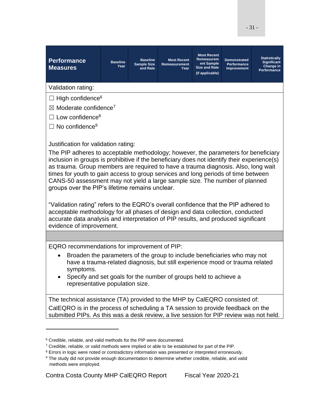<span id="page-30-3"></span><span id="page-30-2"></span><span id="page-30-1"></span><span id="page-30-0"></span>

| <b>Performance</b><br><b>Measures</b>                                                                                                                                                                                                                                                                                                                                                                                                                                                                                                                                                                                        | <b>Baseline</b><br>Year | <b>Baseline</b><br><b>Sample Size</b><br>and Rate | <b>Most Recent</b><br><b>Remeasurement</b><br>Year | <b>Most Recent</b><br>Remeasurem<br>ent Sample<br><b>Size and Rate</b><br>(if applicable) | <b>Demonstrated</b><br>Performance<br><b>Improvement</b> | <b>Statistically</b><br><b>Significant</b><br>Change in<br>Performance |
|------------------------------------------------------------------------------------------------------------------------------------------------------------------------------------------------------------------------------------------------------------------------------------------------------------------------------------------------------------------------------------------------------------------------------------------------------------------------------------------------------------------------------------------------------------------------------------------------------------------------------|-------------------------|---------------------------------------------------|----------------------------------------------------|-------------------------------------------------------------------------------------------|----------------------------------------------------------|------------------------------------------------------------------------|
| Validation rating:                                                                                                                                                                                                                                                                                                                                                                                                                                                                                                                                                                                                           |                         |                                                   |                                                    |                                                                                           |                                                          |                                                                        |
| $\Box$ High confidence <sup>6</sup>                                                                                                                                                                                                                                                                                                                                                                                                                                                                                                                                                                                          |                         |                                                   |                                                    |                                                                                           |                                                          |                                                                        |
| $\boxtimes$ Moderate confidence <sup>7</sup>                                                                                                                                                                                                                                                                                                                                                                                                                                                                                                                                                                                 |                         |                                                   |                                                    |                                                                                           |                                                          |                                                                        |
| $\Box$ Low confidence <sup>8</sup>                                                                                                                                                                                                                                                                                                                                                                                                                                                                                                                                                                                           |                         |                                                   |                                                    |                                                                                           |                                                          |                                                                        |
| No confidence <sup>9</sup>                                                                                                                                                                                                                                                                                                                                                                                                                                                                                                                                                                                                   |                         |                                                   |                                                    |                                                                                           |                                                          |                                                                        |
| Justification for validation rating:<br>The PIP adheres to acceptable methodology; however, the parameters for beneficiary<br>inclusion in groups is prohibitive if the beneficiary does not identify their experience(s)<br>as trauma. Group members are required to have a trauma diagnosis. Also, long wait<br>times for youth to gain access to group services and long periods of time between<br>CANS-50 assessment may not yield a large sample size. The number of planned<br>groups over the PIP's lifetime remains unclear.<br>"Validation rating" refers to the EQRO's overall confidence that the PIP adhered to |                         |                                                   |                                                    |                                                                                           |                                                          |                                                                        |
| acceptable methodology for all phases of design and data collection, conducted<br>accurate data analysis and interpretation of PIP results, and produced significant<br>evidence of improvement.                                                                                                                                                                                                                                                                                                                                                                                                                             |                         |                                                   |                                                    |                                                                                           |                                                          |                                                                        |
|                                                                                                                                                                                                                                                                                                                                                                                                                                                                                                                                                                                                                              |                         |                                                   |                                                    |                                                                                           |                                                          |                                                                        |

EQRO recommendations for improvement of PIP:

- Broaden the parameters of the group to include beneficiaries who may not have a trauma-related diagnosis, but still experience mood or trauma related symptoms.
- Specify and set goals for the number of groups held to achieve a representative population size.

The technical assistance (TA) provided to the MHP by CalEQRO consisted of: CalEQRO is in the process of scheduling a TA session to provide feedback on the submitted PIPs. As this was a desk review, a live session for PIP review was not held.

 $6$  Credible, reliable, and valid methods for the PIP were documented.

<sup>&</sup>lt;sup>7</sup> Credible, reliable, or valid methods were implied or able to be established for part of the PIP.

<sup>&</sup>lt;sup>8</sup> Errors in logic were noted or contradictory information was presented or interpreted erroneously.

<sup>&</sup>lt;sup>9</sup> The study did not provide enough documentation to determine whether credible, reliable, and valid methods were employed.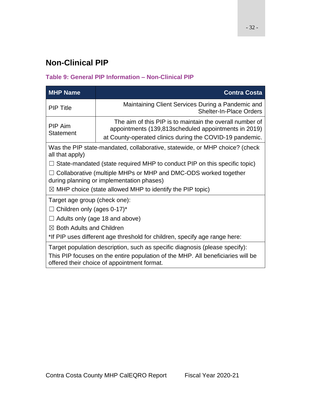# <span id="page-31-0"></span>**Non-Clinical PIP**

### <span id="page-31-1"></span>**Table 9: General PIP Information – Non-Clinical PIP**

<span id="page-31-2"></span>

| <b>MHP Name</b>                                                                                                                                                                                               | <b>Contra Costa</b>                                                                                                                                                          |  |  |  |  |  |
|---------------------------------------------------------------------------------------------------------------------------------------------------------------------------------------------------------------|------------------------------------------------------------------------------------------------------------------------------------------------------------------------------|--|--|--|--|--|
| <b>PIP Title</b>                                                                                                                                                                                              | Maintaining Client Services During a Pandemic and<br><b>Shelter-In-Place Orders</b>                                                                                          |  |  |  |  |  |
| <b>PIP Aim</b><br>Statement                                                                                                                                                                                   | The aim of this PIP is to maintain the overall number of<br>appointments (139,813scheduled appointments in 2019)<br>at County-operated clinics during the COVID-19 pandemic. |  |  |  |  |  |
| all that apply)                                                                                                                                                                                               | Was the PIP state-mandated, collaborative, statewide, or MHP choice? (check                                                                                                  |  |  |  |  |  |
|                                                                                                                                                                                                               | State-mandated (state required MHP to conduct PIP on this specific topic)                                                                                                    |  |  |  |  |  |
|                                                                                                                                                                                                               | $\Box$ Collaborative (multiple MHPs or MHP and DMC-ODS worked together<br>during planning or implementation phases)                                                          |  |  |  |  |  |
| $\boxtimes$ MHP choice (state allowed MHP to identify the PIP topic)                                                                                                                                          |                                                                                                                                                                              |  |  |  |  |  |
| Target age group (check one):<br>$\Box$ Children only (ages 0-17)*                                                                                                                                            |                                                                                                                                                                              |  |  |  |  |  |
|                                                                                                                                                                                                               | Adults only (age 18 and above)                                                                                                                                               |  |  |  |  |  |
| $\boxtimes$ Both Adults and Children                                                                                                                                                                          |                                                                                                                                                                              |  |  |  |  |  |
| *If PIP uses different age threshold for children, specify age range here:                                                                                                                                    |                                                                                                                                                                              |  |  |  |  |  |
| Target population description, such as specific diagnosis (please specify):<br>This PIP focuses on the entire population of the MHP. All beneficiaries will be<br>offered their choice of appointment format. |                                                                                                                                                                              |  |  |  |  |  |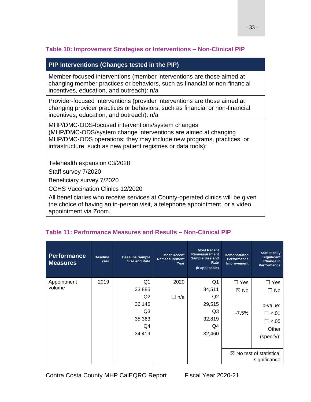### **Table 10: Improvement Strategies or Interventions – Non-Clinical PIP**

### **PIP Interventions (Changes tested in the PIP)**

Member-focused interventions (member interventions are those aimed at changing member practices or behaviors, such as financial or non-financial incentives, education, and outreach): n/a

Provider-focused interventions (provider interventions are those aimed at changing provider practices or behaviors, such as financial or non-financial incentives, education, and outreach): n/a

MHP/DMC-ODS-focused interventions/system changes (MHP/DMC-ODS/system change interventions are aimed at changing MHP/DMC-ODS operations; they may include new programs, practices, or infrastructure, such as new patient registries or data tools):

Telehealth expansion 03/2020

Staff survey 7/2020

Beneficiary survey 7/2020

CCHS Vaccination Clinics 12/2020

All beneficiaries who receive services at County-operated clinics will be given the choice of having an in-person visit, a telephone appointment, or a video appointment via Zoom.

| <b>Performance</b><br><b>Measures</b> | <b>Baseline</b><br>Year | <b>Baseline Sample</b><br><b>Size and Rate</b> | <b>Most Recent</b><br>Remeasurement<br>Year | <b>Most Recent</b><br>Remeasurement<br>Sample Size and<br>Rate<br>(if applicable) | <b>Demonstrated</b><br><b>Performance</b><br>Improvement | <b>Statistically</b><br>Significant<br>Change in<br>Performance |
|---------------------------------------|-------------------------|------------------------------------------------|---------------------------------------------|-----------------------------------------------------------------------------------|----------------------------------------------------------|-----------------------------------------------------------------|
| Appointment                           | 2019                    | Q <sub>1</sub>                                 | 2020                                        | Q1                                                                                | $\Box$ Yes                                               | $\Box$ Yes                                                      |
| volume                                |                         | 33,885                                         |                                             | 34,511                                                                            | $\boxtimes$ No                                           | $\Box$ No                                                       |
|                                       |                         | Q <sub>2</sub>                                 | n/a<br>$\Box$                               | Q2                                                                                |                                                          |                                                                 |
|                                       |                         | 36,146                                         |                                             | 29,515                                                                            |                                                          | p-value:                                                        |
|                                       |                         | Q3                                             |                                             | Q3                                                                                | $-7.5%$                                                  | $\Box$ <.01                                                     |
|                                       |                         | 35,363                                         |                                             | 32,819                                                                            |                                                          | $\Box$ <.05                                                     |
|                                       |                         | Q4                                             |                                             | Q4                                                                                |                                                          | Other                                                           |
|                                       |                         | 34,419                                         |                                             | 32,460                                                                            |                                                          | (specify):                                                      |
|                                       |                         |                                                |                                             |                                                                                   |                                                          | $\boxtimes$ No test of statistical<br>significance              |

### <span id="page-32-0"></span>**Table 11: Performance Measures and Results – Non-Clinical PIP**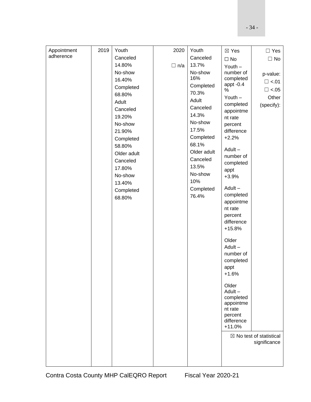| Appointment | 2019 | Youth       | 2020       | Youth                | $\boxtimes$ Yes      | $\Box$ Yes                         |
|-------------|------|-------------|------------|----------------------|----------------------|------------------------------------|
| adherence   |      | Canceled    |            | Canceled             | $\square$ No         | $\Box$ No                          |
|             |      | 14.80%      | $\Box$ n/a | 13.7%                | Youth $-$            |                                    |
|             |      | No-show     |            | No-show              | number of            | p-value:                           |
|             |      | 16.40%      |            | 16%                  | completed            | $\Box$ <.01                        |
|             |      | Completed   |            | Completed            | appt $-0.4$<br>%     | $\Box$ <.05                        |
|             |      | 68.80%      |            | 70.3%                | Youth $-$            | Other                              |
|             |      | Adult       |            | Adult                | completed            | (specify):                         |
|             |      | Canceled    |            | Canceled             | appointme            |                                    |
|             |      | 19.20%      |            | 14.3%                | nt rate              |                                    |
|             |      | No-show     |            | No-show              | percent              |                                    |
|             |      | 21.90%      |            | 17.5%                | difference           |                                    |
|             |      | Completed   |            | Completed            | $+2.2%$              |                                    |
|             |      | 58.80%      |            | 68.1%<br>Older adult | Adult-               |                                    |
|             |      | Older adult |            | Canceled             | number of            |                                    |
|             |      | Canceled    |            | 13.5%                | completed            |                                    |
|             |      | 17.80%      |            | No-show              | appt                 |                                    |
|             |      | No-show     |            | 10%                  | $+3.9%$              |                                    |
|             |      | 13.40%      |            | Completed            | Adult-               |                                    |
|             |      | Completed   |            | 76.4%                | completed            |                                    |
|             |      | 68.80%      |            |                      | appointme            |                                    |
|             |      |             |            |                      | nt rate              |                                    |
|             |      |             |            |                      | percent              |                                    |
|             |      |             |            |                      | difference           |                                    |
|             |      |             |            |                      | $+15.8%$             |                                    |
|             |      |             |            |                      | Older                |                                    |
|             |      |             |            |                      | Adult-               |                                    |
|             |      |             |            |                      | number of            |                                    |
|             |      |             |            |                      | completed            |                                    |
|             |      |             |            |                      | appt                 |                                    |
|             |      |             |            |                      | $+1.6%$              |                                    |
|             |      |             |            |                      | Older                |                                    |
|             |      |             |            |                      | Adult-               |                                    |
|             |      |             |            |                      | completed            |                                    |
|             |      |             |            |                      | appointme<br>nt rate |                                    |
|             |      |             |            |                      | percent              |                                    |
|             |      |             |            |                      | difference           |                                    |
|             |      |             |            |                      | $+11.0%$             |                                    |
|             |      |             |            |                      |                      | $\boxtimes$ No test of statistical |
|             |      |             |            |                      |                      | significance                       |
|             |      |             |            |                      |                      |                                    |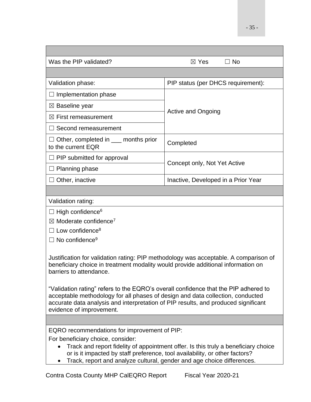- 35 -

| $\boxtimes$ Yes<br>$\Box$ No                                                                                                                                                                                                                                                                                                                                                                                                            |  |  |  |  |  |  |  |
|-----------------------------------------------------------------------------------------------------------------------------------------------------------------------------------------------------------------------------------------------------------------------------------------------------------------------------------------------------------------------------------------------------------------------------------------|--|--|--|--|--|--|--|
|                                                                                                                                                                                                                                                                                                                                                                                                                                         |  |  |  |  |  |  |  |
| PIP status (per DHCS requirement):                                                                                                                                                                                                                                                                                                                                                                                                      |  |  |  |  |  |  |  |
|                                                                                                                                                                                                                                                                                                                                                                                                                                         |  |  |  |  |  |  |  |
|                                                                                                                                                                                                                                                                                                                                                                                                                                         |  |  |  |  |  |  |  |
| <b>Active and Ongoing</b>                                                                                                                                                                                                                                                                                                                                                                                                               |  |  |  |  |  |  |  |
|                                                                                                                                                                                                                                                                                                                                                                                                                                         |  |  |  |  |  |  |  |
| Completed                                                                                                                                                                                                                                                                                                                                                                                                                               |  |  |  |  |  |  |  |
| Concept only, Not Yet Active                                                                                                                                                                                                                                                                                                                                                                                                            |  |  |  |  |  |  |  |
|                                                                                                                                                                                                                                                                                                                                                                                                                                         |  |  |  |  |  |  |  |
| Inactive, Developed in a Prior Year                                                                                                                                                                                                                                                                                                                                                                                                     |  |  |  |  |  |  |  |
|                                                                                                                                                                                                                                                                                                                                                                                                                                         |  |  |  |  |  |  |  |
|                                                                                                                                                                                                                                                                                                                                                                                                                                         |  |  |  |  |  |  |  |
|                                                                                                                                                                                                                                                                                                                                                                                                                                         |  |  |  |  |  |  |  |
|                                                                                                                                                                                                                                                                                                                                                                                                                                         |  |  |  |  |  |  |  |
|                                                                                                                                                                                                                                                                                                                                                                                                                                         |  |  |  |  |  |  |  |
| $\Box$ No confidence <sup>9</sup>                                                                                                                                                                                                                                                                                                                                                                                                       |  |  |  |  |  |  |  |
| Justification for validation rating: PIP methodology was acceptable. A comparison of<br>beneficiary choice in treatment modality would provide additional information on<br>"Validation rating" refers to the EQRO's overall confidence that the PIP adhered to<br>acceptable methodology for all phases of design and data collection, conducted<br>accurate data analysis and interpretation of PIP results, and produced significant |  |  |  |  |  |  |  |
|                                                                                                                                                                                                                                                                                                                                                                                                                                         |  |  |  |  |  |  |  |
| EQRO recommendations for improvement of PIP:<br>Track and report fidelity of appointment offer. Is this truly a beneficiary choice<br>or is it impacted by staff preference, tool availability, or other factors?<br>Track, report and analyze cultural, gender and age choice differences.                                                                                                                                             |  |  |  |  |  |  |  |
| Contra Costa County MHP CalEQRO Report                                                                                                                                                                                                                                                                                                                                                                                                  |  |  |  |  |  |  |  |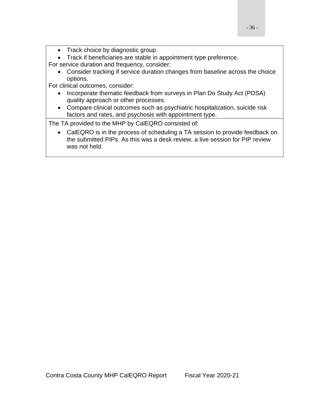• Track choice by diagnostic group.

• Track if beneficiaries are stable in appointment type preference.

For service duration and frequency, consider:

• Consider tracking if service duration changes from baseline across the choice options.

For clinical outcomes, consider:

- Incorporate thematic feedback from surveys in Plan Do Study Act (PDSA) quality approach or other processes.
- Compare clinical outcomes such as psychiatric hospitalization, suicide risk factors and rates, and psychosis with appointment type.

The TA provided to the MHP by CalEQRO consisted of:

<span id="page-35-0"></span>• CalEQRO is in the process of scheduling a TA session to provide feedback on the submitted PIPs. As this was a desk review, a live session for PIP review was not held.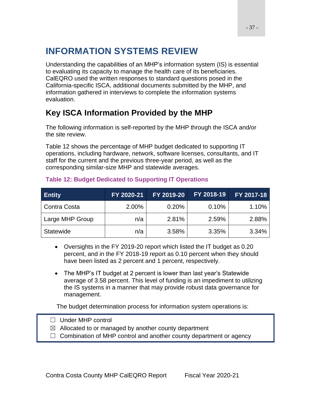# **INFORMATION SYSTEMS REVIEW**

Understanding the capabilities of an MHP's information system (IS) is essential to evaluating its capacity to manage the health care of its beneficiaries. CalEQRO used the written responses to standard questions posed in the California-specific ISCA, additional documents submitted by the MHP, and information gathered in interviews to complete the information systems evaluation.

# **Key ISCA Information Provided by the MHP**

The following information is self-reported by the MHP through the ISCA and/or the site review.

Table 12 shows the percentage of MHP budget dedicated to supporting IT operations, including hardware, network, software licenses, consultants, and IT staff for the current and the previous three-year period, as well as the corresponding similar-size MHP and statewide averages.

| <b>Entity</b>    | FY 2020-21 | FY 2019-20 | FY 2018-19 | FY 2017-18 |
|------------------|------------|------------|------------|------------|
| Contra Costa     | 2.00%      | 0.20%      | 0.10%      | 1.10%      |
| Large MHP Group  | n/a        | 2.81%      | 2.59%      | 2.88%      |
| <b>Statewide</b> | n/a        | 3.58%      | 3.35%      | 3.34%      |

#### **Table 12: Budget Dedicated to Supporting IT Operations**

- Oversights in the FY 2019-20 report which listed the IT budget as 0.20 percent, and in the FY 2018-19 report as 0.10 percent when they should have been listed as 2 percent and 1 percent, respectively.
- The MHP's IT budget at 2 percent is lower than last year's Statewide average of 3.58 percent. This level of funding is an impediment to utilizing the IS systems in a manner that may provide robust data governance for management.

The budget determination process for information system operations is:

- ☐ Under MHP control
- $\boxtimes$  Allocated to or managed by another county department
- $\Box$  Combination of MHP control and another county department or agency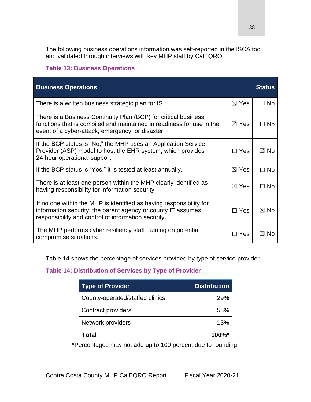The following business operations information was self-reported in the ISCA tool and validated through interviews with key MHP staff by CalEQRO.

### **Table 13: Business Operations**

| <b>Business Operations</b>                                                                                                                                                                   |                 | <b>Status</b>  |
|----------------------------------------------------------------------------------------------------------------------------------------------------------------------------------------------|-----------------|----------------|
| There is a written business strategic plan for IS.                                                                                                                                           | $\boxtimes$ Yes | $\Box$ No      |
| There is a Business Continuity Plan (BCP) for critical business<br>functions that is compiled and maintained in readiness for use in the<br>event of a cyber-attack, emergency, or disaster. | $\boxtimes$ Yes | $\Box$ No      |
| If the BCP status is "No," the MHP uses an Application Service<br>Provider (ASP) model to host the EHR system, which provides<br>24-hour operational support.                                | $\Box$ Yes      | $\boxtimes$ No |
| If the BCP status is "Yes," it is tested at least annually.                                                                                                                                  | $\boxtimes$ Yes | $\Box$ No      |
| There is at least one person within the MHP clearly identified as<br>having responsibility for information security.                                                                         | $\boxtimes$ Yes | $\Box$ No      |
| If no one within the MHP is identified as having responsibility for<br>information security, the parent agency or county IT assumes<br>responsibility and control of information security.   | $\Box$ Yes      | $\boxtimes$ No |
| The MHP performs cyber resiliency staff training on potential<br>compromise situations.                                                                                                      | $\Box$ Yes      | $\boxtimes$ No |

Table 14 shows the percentage of services provided by type of service provider.

### **Table 14: Distribution of Services by Type of Provider**

| <b>Type of Provider</b>         | <b>Distribution</b>  |
|---------------------------------|----------------------|
| County-operated/staffed clinics | 29%                  |
| Contract providers              | 58%                  |
| Network providers               | 13%                  |
| Total                           | $100\%$ <sup>*</sup> |

\*Percentages may not add up to 100 percent due to rounding.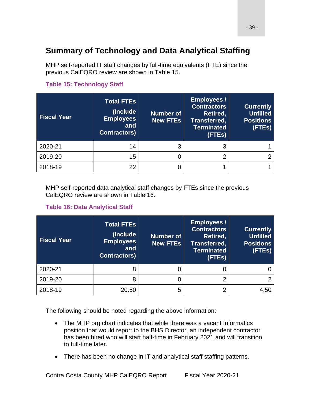# **Summary of Technology and Data Analytical Staffing**

MHP self-reported IT staff changes by full-time equivalents (FTE) since the previous CalEQRO review are shown in Table 15.

#### **Table 15: Technology Staff**

| <b>Fiscal Year</b> | <b>Total FTEs</b><br>(Include)<br><b>Employees</b><br>and<br><b>Contractors</b> ) | <b>Number of</b><br><b>New FTEs</b> | <b>Employees /</b><br><b>Contractors</b><br>Retired,<br>Transferred,<br><b>Terminated</b><br>(FTEs) | <b>Currently</b><br><b>Unfilled</b><br><b>Positions</b><br>(FTEs) |
|--------------------|-----------------------------------------------------------------------------------|-------------------------------------|-----------------------------------------------------------------------------------------------------|-------------------------------------------------------------------|
| 2020-21            | 14                                                                                | 3                                   | 3                                                                                                   |                                                                   |
| 2019-20            | 15                                                                                |                                     | っ                                                                                                   | ⌒                                                                 |
| 2018-19            | 22                                                                                |                                     |                                                                                                     |                                                                   |

MHP self-reported data analytical staff changes by FTEs since the previous CalEQRO review are shown in Table 16.

### **Table 16: Data Analytical Staff**

| <b>Fiscal Year</b> | <b>Total FTEs</b><br>(Include<br><b>Employees</b><br>and<br><b>Contractors)</b> | <b>Number of</b><br><b>New FTEs</b> | <b>Employees /</b><br><b>Contractors</b><br>Retired,<br>Transferred,<br><b>Terminated</b><br>(FTEs) | <b>Currently</b><br><b>Unfilled</b><br><b>Positions</b><br>(FTEs) |
|--------------------|---------------------------------------------------------------------------------|-------------------------------------|-----------------------------------------------------------------------------------------------------|-------------------------------------------------------------------|
| 2020-21            | 8                                                                               | 0                                   |                                                                                                     |                                                                   |
| 2019-20            | 8                                                                               | 0                                   | 2                                                                                                   |                                                                   |
| 2018-19            | 20.50                                                                           | 5                                   | ⌒                                                                                                   | 4.50                                                              |

The following should be noted regarding the above information:

- The MHP org chart indicates that while there was a vacant Informatics position that would report to the BHS Director, an independent contractor has been hired who will start half-time in February 2021 and will transition to full-time later.
- There has been no change in IT and analytical staff staffing patterns.

Contra Costa County MHP CalEQRO Report Fiscal Year 2020-21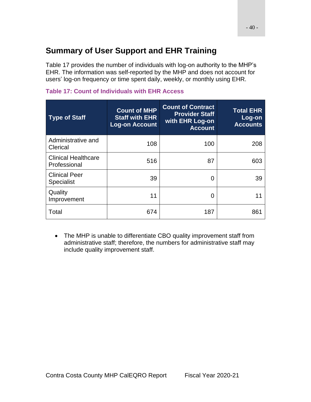# **Summary of User Support and EHR Training**

Table 17 provides the number of individuals with log-on authority to the MHP's EHR. The information was self-reported by the MHP and does not account for users' log-on frequency or time spent daily, weekly, or monthly using EHR.

| <b>Type of Staff</b>                       | <b>Count of MHP</b><br><b>Staff with EHR</b><br><b>Log-on Account</b> | <b>Count of Contract</b><br><b>Provider Staff</b><br>with EHR Log-on<br><b>Account</b> | <b>Total EHR</b><br>Log-on<br><b>Accounts</b> |
|--------------------------------------------|-----------------------------------------------------------------------|----------------------------------------------------------------------------------------|-----------------------------------------------|
| Administrative and<br>Clerical             | 108                                                                   | 100                                                                                    | 208                                           |
| <b>Clinical Healthcare</b><br>Professional | 516                                                                   | 87                                                                                     | 603                                           |
| <b>Clinical Peer</b><br><b>Specialist</b>  | 39                                                                    | ∩                                                                                      | 39                                            |
| Quality<br>Improvement                     | 11                                                                    | 0                                                                                      | 11                                            |
| Total                                      | 674                                                                   | 187                                                                                    | 861                                           |

### **Table 17: Count of Individuals with EHR Access**

• The MHP is unable to differentiate CBO quality improvement staff from administrative staff; therefore, the numbers for administrative staff may include quality improvement staff.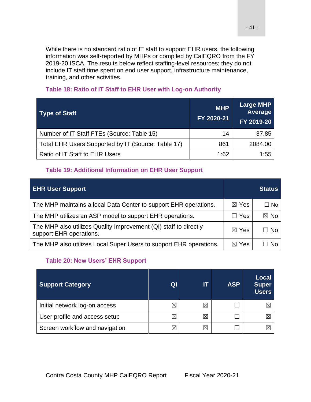While there is no standard ratio of IT staff to support EHR users, the following information was self-reported by MHPs or compiled by CalEQRO from the FY 2019-20 ISCA. The results below reflect staffing-level resources; they do not include IT staff time spent on end user support, infrastructure maintenance, training, and other activities.

| <b>Type of Staff</b>                               | <b>MHP</b><br>FY 2020-21 | <b>Large MHP</b><br>Average<br>FY 2019-20 |
|----------------------------------------------------|--------------------------|-------------------------------------------|
| Number of IT Staff FTEs (Source: Table 15)         | 14                       | 37.85                                     |
| Total EHR Users Supported by IT (Source: Table 17) | 861                      | 2084.00                                   |
| Ratio of IT Staff to EHR Users                     | 1:62                     | 1:55                                      |

### **Table 18: Ratio of IT Staff to EHR User with Log-on Authority**

#### **Table 19: Additional Information on EHR User Support**

| <b>EHR User Support</b>                                                                     |                 | <b>Status</b>  |
|---------------------------------------------------------------------------------------------|-----------------|----------------|
| The MHP maintains a local Data Center to support EHR operations.                            | $\boxtimes$ Yes | $\Box$ No      |
| The MHP utilizes an ASP model to support EHR operations.                                    | Yes             | $\boxtimes$ No |
| The MHP also utilizes Quality Improvement (QI) staff to directly<br>support EHR operations. | $\boxtimes$ Yes | $\Box$ No      |
| The MHP also utilizes Local Super Users to support EHR operations.                          | ⊠ Yes           | N٥             |

### **Table 20: New Users' EHR Support**

| <b>Support Category</b>        | Ql | lΤ          | <b>ASP</b> | <b>Local</b><br><b>Super</b><br><b>Users</b> |
|--------------------------------|----|-------------|------------|----------------------------------------------|
| Initial network log-on access  | ⋉  | ⋉           |            |                                              |
| User profile and access setup  |    | $\boxtimes$ |            |                                              |
| Screen workflow and navigation |    | $\boxtimes$ |            |                                              |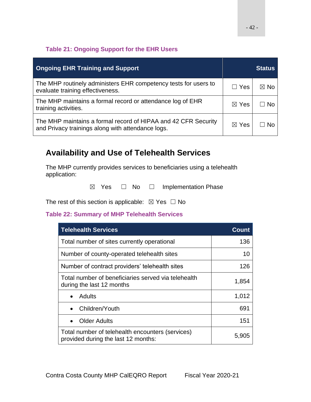### **Table 21: Ongoing Support for the EHR Users**

| <b>Ongoing EHR Training and Support</b>                                                                             |                 | <b>Status</b>  |
|---------------------------------------------------------------------------------------------------------------------|-----------------|----------------|
| The MHP routinely administers EHR competency tests for users to<br>evaluate training effectiveness.                 | $\Box$ Yes      | $\boxtimes$ No |
| The MHP maintains a formal record or attendance log of EHR<br>training activities.                                  | $\boxtimes$ Yes | $\Box$ No      |
| The MHP maintains a formal record of HIPAA and 42 CFR Security<br>and Privacy trainings along with attendance logs. | $\boxtimes$ Yes | .No            |

# **Availability and Use of Telehealth Services**

The MHP currently provides services to beneficiaries using a telehealth application:

 $\boxtimes$  Yes  $\Box$  No  $\Box$  Implementation Phase

The rest of this section is applicable:  $\boxtimes$  Yes  $\Box$  No

### **Table 22: Summary of MHP Telehealth Services**

| <b>Telehealth Services</b>                                                              | Count |
|-----------------------------------------------------------------------------------------|-------|
| Total number of sites currently operational                                             | 136   |
| Number of county-operated telehealth sites                                              | 10    |
| Number of contract providers' telehealth sites                                          | 126   |
| Total number of beneficiaries served via telehealth<br>during the last 12 months        | 1,854 |
| Adults                                                                                  | 1,012 |
| Children/Youth                                                                          | 691   |
| <b>Older Adults</b>                                                                     | 151   |
| Total number of telehealth encounters (services)<br>provided during the last 12 months: | 5.905 |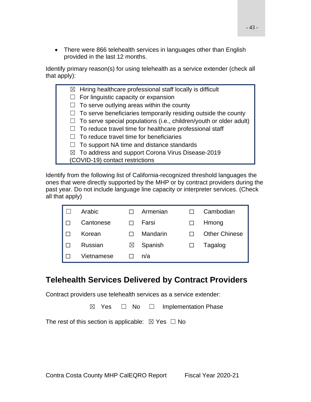• There were 866 telehealth services in languages other than English provided in the last 12 months.

Identify primary reason(s) for using telehealth as a service extender (check all that apply):

|  | $\boxtimes$ Hiring healthcare professional staff locally is difficult     |
|--|---------------------------------------------------------------------------|
|  | $\Box$ For linguistic capacity or expansion                               |
|  | $\Box$ To serve outlying areas within the county                          |
|  | $\Box$ To serve beneficiaries temporarily residing outside the county     |
|  | $\Box$ To serve special populations (i.e., children/youth or older adult) |
|  | $\Box$ To reduce travel time for healthcare professional staff            |
|  | $\Box$ To reduce travel time for beneficiaries                            |
|  | $\Box$ To support NA time and distance standards                          |
|  | $\boxtimes$ To address and support Corona Virus Disease-2019              |
|  | (COVID-19) contact restrictions                                           |
|  |                                                                           |

Identify from the following list of California-recognized threshold languages the ones that were directly supported by the MHP or by contract providers during the past year. Do not include language line capacity or interpreter services. (Check all that apply)

| Arabic     |           | Armenian | Cambodian            |
|------------|-----------|----------|----------------------|
| Cantonese  |           | Farsi    | Hmong                |
| Korean     |           | Mandarin | <b>Other Chinese</b> |
| Russian    | $\bowtie$ | Spanish  | Tagalog              |
| Vietnamese |           | n/a      |                      |

## **Telehealth Services Delivered by Contract Providers**

Contract providers use telehealth services as a service extender:

☒ Yes ☐ No ☐ Implementation Phase

The rest of this section is applicable:  $\boxtimes$  Yes  $\Box$  No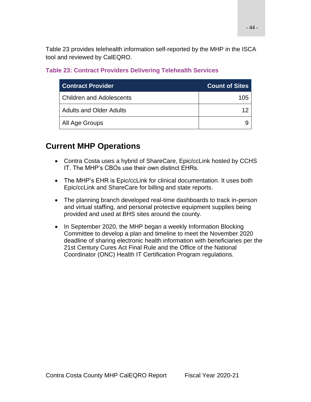Table 23 provides telehealth information self-reported by the MHP in the ISCA tool and reviewed by CalEQRO.

### **Table 23: Contract Providers Delivering Telehealth Services**

| <b>Contract Provider</b>        | <b>Count of Sites</b> |
|---------------------------------|-----------------------|
| <b>Children and Adolescents</b> | 105                   |
| <b>Adults and Older Adults</b>  |                       |
| All Age Groups                  |                       |

# **Current MHP Operations**

- Contra Costa uses a hybrid of ShareCare, Epic/ccLink hosted by CCHS IT. The MHP's CBOs use their own distinct EHRs.
- The MHP's EHR is Epic/ccLink for clinical documentation. It uses both Epic/ccLink and ShareCare for billing and state reports.
- The planning branch developed real-time dashboards to track in-person and virtual staffing, and personal protective equipment supplies being provided and used at BHS sites around the county.
- In September 2020, the MHP began a weekly Information Blocking Committee to develop a plan and timeline to meet the November 2020 deadline of sharing electronic health information with beneficiaries per the 21st Century Cures Act Final Rule and the Office of the National Coordinator (ONC) Health IT Certification Program regulations.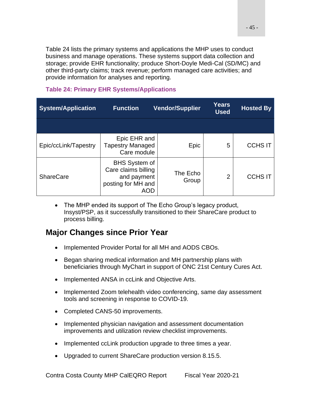Table 24 lists the primary systems and applications the MHP uses to conduct business and manage operations. These systems support data collection and storage; provide EHR functionality; produce Short-Doyle Medi-Cal (SD/MC) and other third-party claims; track revenue; perform managed care activities; and provide information for analyses and reporting.

### **Table 24: Primary EHR Systems/Applications**

| <b>System/Application</b> | <b>Function</b>                                                                         | <b>Vendor/Supplier</b> | <b>Years</b><br><b>Used</b> | <b>Hosted By</b> |
|---------------------------|-----------------------------------------------------------------------------------------|------------------------|-----------------------------|------------------|
|                           |                                                                                         |                        |                             |                  |
| Epic/ccLink/Tapestry      | Epic EHR and<br><b>Tapestry Managed</b><br>Care module                                  | Epic                   | 5                           | <b>CCHS IT</b>   |
| <b>ShareCare</b>          | <b>BHS System of</b><br>Care claims billing<br>and payment<br>posting for MH and<br>AOD | The Echo<br>Group      | 2                           | <b>CCHS IT</b>   |

• The MHP ended its support of The Echo Group's legacy product, Insyst/PSP, as it successfully transitioned to their ShareCare product to process billing.

## **Major Changes since Prior Year**

- Implemented Provider Portal for all MH and AODS CBOs.
- Began sharing medical information and MH partnership plans with beneficiaries through MyChart in support of ONC 21st Century Cures Act.
- Implemented ANSA in ccLink and Objective Arts.
- Implemented Zoom telehealth video conferencing, same day assessment tools and screening in response to COVID-19.
- Completed CANS-50 improvements.
- Implemented physician navigation and assessment documentation improvements and utilization review checklist improvements.
- Implemented ccLink production upgrade to three times a year.
- Upgraded to current ShareCare production version 8.15.5.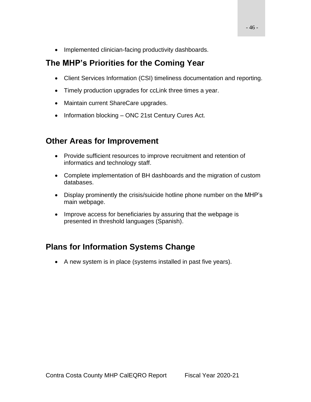• Implemented clinician-facing productivity dashboards.

# **The MHP's Priorities for the Coming Year**

- Client Services Information (CSI) timeliness documentation and reporting.
- Timely production upgrades for ccLink three times a year.
- Maintain current ShareCare upgrades.
- Information blocking ONC 21st Century Cures Act.

# **Other Areas for Improvement**

- Provide sufficient resources to improve recruitment and retention of informatics and technology staff.
- Complete implementation of BH dashboards and the migration of custom databases.
- Display prominently the crisis/suicide hotline phone number on the MHP's main webpage.
- Improve access for beneficiaries by assuring that the webpage is presented in threshold languages (Spanish).

# **Plans for Information Systems Change**

• A new system is in place (systems installed in past five years).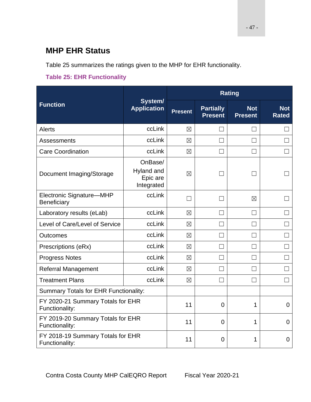# **MHP EHR Status**

Table 25 summarizes the ratings given to the MHP for EHR functionality.

### **Table 25: EHR Functionality**

|                                                     |                                                 |                | <b>Rating</b>                      |                                                                                                                                               |                            |
|-----------------------------------------------------|-------------------------------------------------|----------------|------------------------------------|-----------------------------------------------------------------------------------------------------------------------------------------------|----------------------------|
| <b>Function</b>                                     | System/<br><b>Application</b>                   | <b>Present</b> | <b>Partially</b><br><b>Present</b> | <b>Not</b><br><b>Present</b><br>П<br>П<br>$\boxtimes$<br>$\vert \ \ \vert$<br>П<br>$\vert \ \ \vert$<br>$\mathbf{L}$<br>$\Box$<br>1<br>1<br>1 | <b>Not</b><br><b>Rated</b> |
| <b>Alerts</b>                                       | ccLink                                          | $\boxtimes$    | $\vert \ \ \vert$                  |                                                                                                                                               |                            |
| Assessments                                         | ccLink                                          | $\boxtimes$    | П                                  |                                                                                                                                               | $\mathbf{L}$               |
| <b>Care Coordination</b>                            | ccLink                                          | $\boxtimes$    | $\Box$                             |                                                                                                                                               |                            |
| Document Imaging/Storage                            | OnBase/<br>Hyland and<br>Epic are<br>Integrated | $\boxtimes$    | $\Box$                             |                                                                                                                                               |                            |
| Electronic Signature-MHP<br>Beneficiary             | ccLink                                          |                | ΓI                                 |                                                                                                                                               |                            |
| Laboratory results (eLab)                           | ccLink                                          | $\boxtimes$    | $\perp$                            |                                                                                                                                               |                            |
| Level of Care/Level of Service                      | ccLink                                          | $\boxtimes$    | П                                  |                                                                                                                                               |                            |
| <b>Outcomes</b>                                     | ccLink                                          | $\boxtimes$    | П                                  |                                                                                                                                               |                            |
| Prescriptions (eRx)                                 | ccLink                                          | $\boxtimes$    | $\Box$                             |                                                                                                                                               |                            |
| <b>Progress Notes</b>                               | ccLink                                          | $\boxtimes$    | П                                  |                                                                                                                                               |                            |
| <b>Referral Management</b>                          | ccLink                                          | $\boxtimes$    | ГΙ                                 |                                                                                                                                               |                            |
| <b>Treatment Plans</b>                              | ccLink                                          | $\boxtimes$    | $\Box$                             |                                                                                                                                               | $\Box$                     |
| Summary Totals for EHR Functionality:               |                                                 |                |                                    |                                                                                                                                               |                            |
| FY 2020-21 Summary Totals for EHR<br>Functionality: |                                                 | 11             | $\overline{0}$                     |                                                                                                                                               | $\mathbf{0}$               |
| FY 2019-20 Summary Totals for EHR<br>Functionality: |                                                 | 11             | $\overline{0}$                     |                                                                                                                                               | $\Omega$                   |
| FY 2018-19 Summary Totals for EHR<br>Functionality: |                                                 | 11             | $\overline{0}$                     |                                                                                                                                               | $\mathbf 0$                |

- 47 -

Contra Costa County MHP CalEQRO Report Fiscal Year 2020-21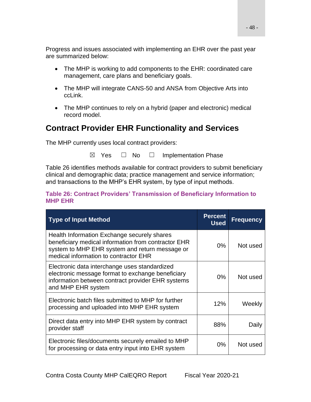Progress and issues associated with implementing an EHR over the past year are summarized below:

- The MHP is working to add components to the EHR: coordinated care management, care plans and beneficiary goals.
- The MHP will integrate CANS-50 and ANSA from Objective Arts into ccLink.
- The MHP continues to rely on a hybrid (paper and electronic) medical record model.

# **Contract Provider EHR Functionality and Services**

The MHP currently uses local contract providers:

 $\boxtimes$  Yes  $\Box$  No  $\Box$  Implementation Phase

Table 26 identifies methods available for contract providers to submit beneficiary clinical and demographic data; practice management and service information; and transactions to the MHP's EHR system, by type of input methods.

#### **Table 26: Contract Providers' Transmission of Beneficiary Information to MHP EHR**

| <b>Type of Input Method</b>                                                                                                                                                                   | <b>Percent</b><br><b>Used</b> | <b>Frequency</b> |
|-----------------------------------------------------------------------------------------------------------------------------------------------------------------------------------------------|-------------------------------|------------------|
| Health Information Exchange securely shares<br>beneficiary medical information from contractor EHR<br>system to MHP EHR system and return message or<br>medical information to contractor EHR | $0\%$                         | Not used         |
| Electronic data interchange uses standardized<br>electronic message format to exchange beneficiary<br>information between contract provider EHR systems<br>and MHP EHR system                 | $0\%$                         | Not used         |
| Electronic batch files submitted to MHP for further<br>processing and uploaded into MHP EHR system                                                                                            | 12%                           | Weekly           |
| Direct data entry into MHP EHR system by contract<br>provider staff                                                                                                                           | 88%                           | Daily            |
| Electronic files/documents securely emailed to MHP<br>for processing or data entry input into EHR system                                                                                      | 0%                            | Not used         |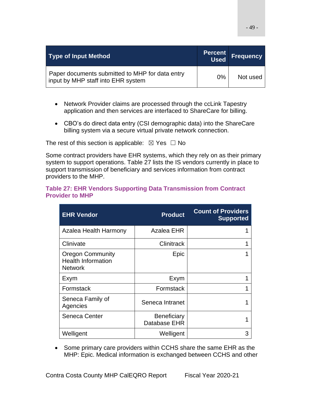| <b>Type of Input Method</b>                                                           |       | <b>Percent Frequency</b> |
|---------------------------------------------------------------------------------------|-------|--------------------------|
| Paper documents submitted to MHP for data entry<br>input by MHP staff into EHR system | $0\%$ | Not used                 |

- Network Provider claims are processed through the ccLink Tapestry application and then services are interfaced to ShareCare for billing.
- CBO's do direct data entry (CSI demographic data) into the ShareCare billing system via a secure virtual private network connection.

The rest of this section is applicable:  $\boxtimes$  Yes  $\Box$  No

Some contract providers have EHR systems, which they rely on as their primary system to support operations. Table 27 lists the IS vendors currently in place to support transmission of beneficiary and services information from contract providers to the MHP.

#### **Table 27: EHR Vendors Supporting Data Transmission from Contract Provider to MHP**

| <b>EHR Vendor</b>                                                      | <b>Product</b>                     | <b>Count of Providers</b><br><b>Supported</b> |
|------------------------------------------------------------------------|------------------------------------|-----------------------------------------------|
| Azalea Health Harmony                                                  | Azalea EHR                         |                                               |
| Clinivate                                                              | Clinitrack                         |                                               |
| <b>Oregon Community</b><br><b>Health Information</b><br><b>Network</b> | Epic                               |                                               |
| Exym                                                                   | Exym                               |                                               |
| Formstack                                                              | Formstack                          |                                               |
| Seneca Family of<br>Agencies                                           | Seneca Intranet                    |                                               |
| Seneca Center                                                          | <b>Beneficiary</b><br>Database EHR |                                               |
| Welligent                                                              | Welligent                          | З                                             |

• Some primary care providers within CCHS share the same EHR as the MHP: Epic. Medical information is exchanged between CCHS and other

- 49 -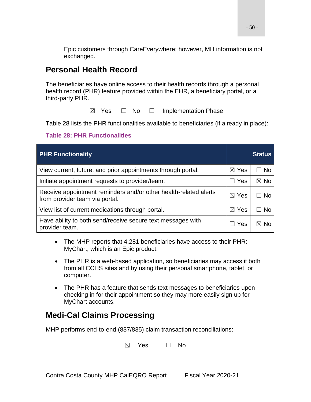Epic customers through CareEverywhere; however, MH information is not exchanged.

# **Personal Health Record**

The beneficiaries have online access to their health records through a personal health record (PHR) feature provided within the EHR, a beneficiary portal, or a third-party PHR.

 $\boxtimes$  Yes  $\Box$  No  $\Box$  Implementation Phase

Table 28 lists the PHR functionalities available to beneficiaries (if already in place):

### **Table 28: PHR Functionalities**

| <b>PHR Functionality</b>                                                                           |                 | <b>Status</b>  |
|----------------------------------------------------------------------------------------------------|-----------------|----------------|
| View current, future, and prior appointments through portal.                                       | $\boxtimes$ Yes | ⊟ No           |
| Initiate appointment requests to provider/team.                                                    | Yes<br>$\Box$   | $\boxtimes$ No |
| Receive appointment reminders and/or other health-related alerts<br>from provider team via portal. | $\boxtimes$ Yes | -No            |
| View list of current medications through portal.                                                   | $\boxtimes$ Yes | $\Box$ No      |
| Have ability to both send/receive secure text messages with<br>provider team.                      | Yes             | ⊠ No           |

- The MHP reports that 4,281 beneficiaries have access to their PHR: MyChart, which is an Epic product.
- The PHR is a web-based application, so beneficiaries may access it both from all CCHS sites and by using their personal smartphone, tablet, or computer.
- The PHR has a feature that sends text messages to beneficiaries upon checking in for their appointment so they may more easily sign up for MyChart accounts.

## **Medi-Cal Claims Processing**

MHP performs end-to-end (837/835) claim transaction reconciliations:

 $\boxtimes$  Yes  $\Box$  No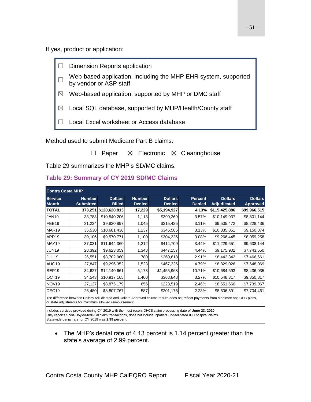If yes, product or application:



Method used to submit Medicare Part B claims:

□ Paper  $\boxtimes$  Electronic  $\boxtimes$  Clearinghouse

Table 29 summarizes the MHP's SD/MC claims.

#### **Table 29: Summary of CY 2019 SD/MC Claims**

| <b>Contra Costa MHP</b>        |                                   |                                 |                                |                                 |                                 |                               |                                   |  |
|--------------------------------|-----------------------------------|---------------------------------|--------------------------------|---------------------------------|---------------------------------|-------------------------------|-----------------------------------|--|
| <b>Service</b><br><b>Month</b> | <b>Number</b><br><b>Submitted</b> | <b>Dollars</b><br><b>Billed</b> | <b>Number</b><br><b>Denied</b> | <b>Dollars</b><br><b>Denied</b> | <b>Percent</b><br><b>Denied</b> | <b>Dollars</b><br>Adjudicated | <b>Dollars</b><br><b>Approved</b> |  |
| <b>TOTAL</b>                   | 373,251                           | \$120,620,813                   | 17,229                         | \$5,194,927                     | 4.13%                           | \$115,425,886                 | \$99,966,515                      |  |
| JAN19                          | 33,783                            | \$10,540,206                    | 1,113                          | \$390,269                       | 3.57%                           | \$10,149,937                  | \$8,801,144                       |  |
| FEB <sub>19</sub>              | 31,234                            | \$9,820,897                     | 1,045                          | \$315,425                       | 3.11%                           | \$9,505,472                   | \$8,228,436                       |  |
| MAR <sub>19</sub>              | 35,530                            | \$10,681,436                    | 1,237                          | \$345,585                       | 3.13%                           | \$10,335,851                  | \$9,150,874                       |  |
| APR <sub>19</sub>              | 30,106                            | \$9,570,771                     | 1,100                          | \$304,326                       | 3.08%                           | \$9,266,445                   | \$8,059,258                       |  |
| <b>MAY19</b>                   | 37,031                            | \$11,644,360                    | 1,212                          | \$414,709                       | 3.44%                           | \$11,229,651                  | \$9,638,144                       |  |
| <b>JUN19</b>                   | 28,392                            | \$9,623,059                     | 1,343                          | \$447,157                       | 4.44%                           | \$9,175,902                   | \$7,743,550                       |  |
| <b>JUL19</b>                   | 26,551                            | \$8,702,960                     | 780                            | \$260,618                       | 2.91%                           | \$8,442,342                   | \$7,466,661                       |  |
| AUG19                          | 27,847                            | \$9,296,352                     | 1,523                          | \$467,326                       | 4.79%                           | \$8,829,026                   | \$7,648,069                       |  |
| SEP <sub>19</sub>              | 34,627                            | \$12,140,661                    | 5,173                          | \$1,455,968                     | 10.71%                          | \$10,684,693                  | \$8,436,035                       |  |
| OCT <sub>19</sub>              | 34,543                            | \$10,917,165                    | 1,460                          | \$368,848                       | 3.27%                           | \$10,548,317                  | \$9,350,817                       |  |
| <b>NOV19</b>                   | 27,127                            | \$8,875,179                     | 656                            | \$223,519                       | 2.46%                           | \$8,651,660                   | \$7,739,067                       |  |
| DEC <sub>19</sub>              | 26,480                            | \$8,807,767                     | 587                            | \$201,176                       | 2.23%                           | \$8,606,591                   | \$7,704,461                       |  |

The difference between Dollars Adjudicated and Dollars Approved column results does not reflect payments from Medicare and OHC plans, or state adjustments for maximum allowed reimbursement.

Includes services provided during CY 2019 with the most recent DHCS claim processing date of **June 23, 2020**. Only reports Short-Doyle/Medi-Cal claim transactions, does not include Inpatient Consolidated IPC hospital claims. Statewide denial rate for CY 2019 was **2.99 percent.**

• The MHP's denial rate of 4.13 percent is 1.14 percent greater than the state's average of 2.99 percent.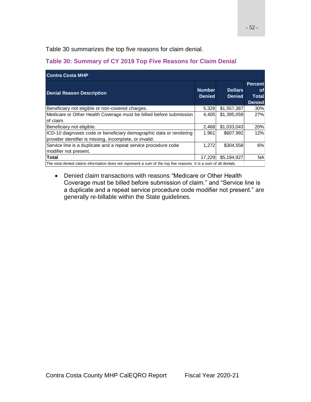Table 30 summarizes the top five reasons for claim denial.

### **Table 30: Summary of CY 2019 Top Five Reasons for Claim Denial**

| <b>Contra Costa MHP</b>                                                                                                       |                                |                                 |                                                              |  |  |  |
|-------------------------------------------------------------------------------------------------------------------------------|--------------------------------|---------------------------------|--------------------------------------------------------------|--|--|--|
| <b>Denial Reason Description</b>                                                                                              | <b>Number</b><br><b>Denied</b> | <b>Dollars</b><br><b>Denied</b> | <b>Percent</b><br><b>of</b><br><b>Total</b><br><b>Denied</b> |  |  |  |
| Beneficiary not eligible or non-covered charges.                                                                              | 5,328                          | \$1,557,387                     | 30%                                                          |  |  |  |
| Medicare or Other Health Coverage must be billed before submission<br>of claim.                                               | 4.405                          | \$1,395,059                     | 27%                                                          |  |  |  |
| Beneficiary not eligible.                                                                                                     | 2,468                          | \$1,033,043                     | 20%                                                          |  |  |  |
| ICD-10 diagnoses code or beneficiary demographic data or rendering<br>provider identifier is missing, incomplete, or invalid. | 1.961                          | \$607,992                       | 12%                                                          |  |  |  |
| Service line is a duplicate and a repeat service procedure code<br>modifier not present.                                      | 1,272                          | \$304,558                       | 6%                                                           |  |  |  |
| <b>Total</b>                                                                                                                  | 17.229                         | \$5,194,927                     | <b>NA</b>                                                    |  |  |  |
| The total denied claims information does not represent a sum of the top five reasons. It is a sum of all denials.             |                                |                                 |                                                              |  |  |  |

• Denied claim transactions with reasons "Medicare or Other Health Coverage must be billed before submission of claim." and "Service line is a duplicate and a repeat service procedure code modifier not present." are generally re-billable within the State guidelines.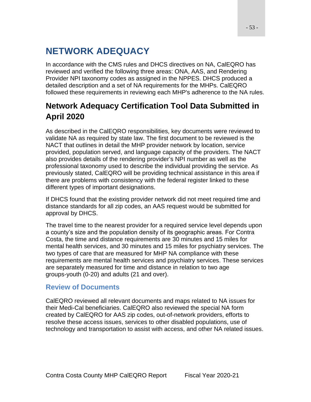# **NETWORK ADEQUACY**

In accordance with the CMS rules and DHCS directives on NA, CalEQRO has reviewed and verified the following three areas: ONA, AAS, and Rendering Provider NPI taxonomy codes as assigned in the NPPES. DHCS produced a detailed description and a set of NA requirements for the MHPs. CalEQRO followed these requirements in reviewing each MHP's adherence to the NA rules.

# **Network Adequacy Certification Tool Data Submitted in April 2020**

As described in the CalEQRO responsibilities, key documents were reviewed to validate NA as required by state law. The first document to be reviewed is the NACT that outlines in detail the MHP provider network by location, service provided, population served, and language capacity of the providers. The NACT also provides details of the rendering provider's NPI number as well as the professional taxonomy used to describe the individual providing the service. As previously stated, CalEQRO will be providing technical assistance in this area if there are problems with consistency with the federal register linked to these different types of important designations.

If DHCS found that the existing provider network did not meet required time and distance standards for all zip codes, an AAS request would be submitted for approval by DHCS.

The travel time to the nearest provider for a required service level depends upon a county's size and the population density of its geographic areas. For Contra Costa, the time and distance requirements are 30 minutes and 15 miles for mental health services, and 30 minutes and 15 miles for psychiatry services. The two types of care that are measured for MHP NA compliance with these requirements are mental health services and psychiatry services. These services are separately measured for time and distance in relation to two age groups-youth (0-20) and adults (21 and over).

### **Review of Documents**

CalEQRO reviewed all relevant documents and maps related to NA issues for their Medi-Cal beneficiaries. CalEQRO also reviewed the special NA form created by CalEQRO for AAS zip codes, out-of-network providers, efforts to resolve these access issues, services to other disabled populations, use of technology and transportation to assist with access, and other NA related issues.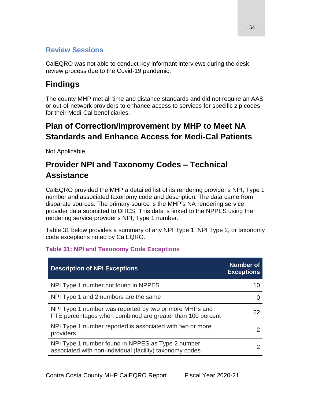## **Review Sessions**

CalEQRO was not able to conduct key informant interviews during the desk review process due to the Covid-19 pandemic.

# **Findings**

The county MHP met all time and distance standards and did not require an AAS or out-of-network providers to enhance access to services for specific zip codes for their Medi-Cal beneficiaries.

# **Plan of Correction/Improvement by MHP to Meet NA Standards and Enhance Access for Medi-Cal Patients**

Not Applicable.

# **Provider NPI and Taxonomy Codes – Technical Assistance**

CalEQRO provided the MHP a detailed list of its rendering provider's NPI, Type 1 number and associated taxonomy code and description. The data came from disparate sources. The primary source is the MHP's NA rendering service provider data submitted to DHCS. This data is linked to the NPPES using the rendering service provider's NPI, Type 1 number.

Table 31 below provides a summary of any NPI Type 1, NPI Type 2, or taxonomy code exceptions noted by CalEQRO.

| <b>Description of NPI Exceptions</b>                                                                                 | <b>Number of</b><br><b>Exceptions</b> |
|----------------------------------------------------------------------------------------------------------------------|---------------------------------------|
| NPI Type 1 number not found in NPPES                                                                                 |                                       |
| NPI Type 1 and 2 numbers are the same                                                                                |                                       |
| NPI Type 1 number was reported by two or more MHPs and<br>FTE percentages when combined are greater than 100 percent | 52                                    |
| NPI Type 1 number reported is associated with two or more<br>providers                                               |                                       |
| NPI Type 1 number found in NPPES as Type 2 number<br>associated with non-individual (facility) taxonomy codes        |                                       |

## **Table 31: NPI and Taxonomy Code Exceptions**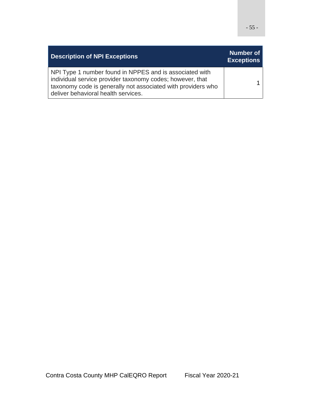| <b>Description of NPI Exceptions</b>                                                                                                                                                                                        | Number of<br><b>Exceptions</b> |
|-----------------------------------------------------------------------------------------------------------------------------------------------------------------------------------------------------------------------------|--------------------------------|
| NPI Type 1 number found in NPPES and is associated with<br>individual service provider taxonomy codes; however, that<br>taxonomy code is generally not associated with providers who<br>deliver behavioral health services. |                                |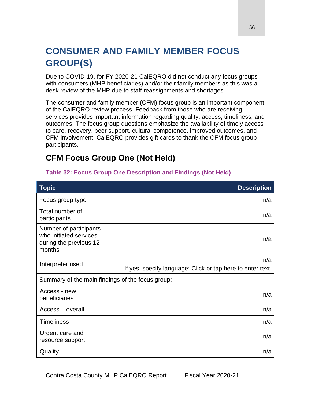# **CONSUMER AND FAMILY MEMBER FOCUS GROUP(S)**

Due to COVID-19, for FY 2020-21 CalEQRO did not conduct any focus groups with consumers (MHP beneficiaries) and/or their family members as this was a desk review of the MHP due to staff reassignments and shortages.

The consumer and family member (CFM) focus group is an important component of the CalEQRO review process. Feedback from those who are receiving services provides important information regarding quality, access, timeliness, and outcomes. The focus group questions emphasize the availability of timely access to care, recovery, peer support, cultural competence, improved outcomes, and CFM involvement. CalEQRO provides gift cards to thank the CFM focus group participants.

# **CFM Focus Group One (Not Held)**

| <b>Topic</b>                                                                         | <b>Description</b>                                                |
|--------------------------------------------------------------------------------------|-------------------------------------------------------------------|
| Focus group type                                                                     | n/a                                                               |
| Total number of<br>participants                                                      | n/a                                                               |
| Number of participants<br>who initiated services<br>during the previous 12<br>months | n/a                                                               |
| Interpreter used                                                                     | n/a<br>If yes, specify language: Click or tap here to enter text. |
|                                                                                      | Summary of the main findings of the focus group:                  |
| Access - new<br>beneficiaries                                                        | n/a                                                               |
| Access – overall                                                                     | n/a                                                               |
| <b>Timeliness</b>                                                                    | n/a                                                               |
| Urgent care and<br>resource support                                                  | n/a                                                               |
| Quality                                                                              | n/a                                                               |

### **Table 32: Focus Group One Description and Findings (Not Held)**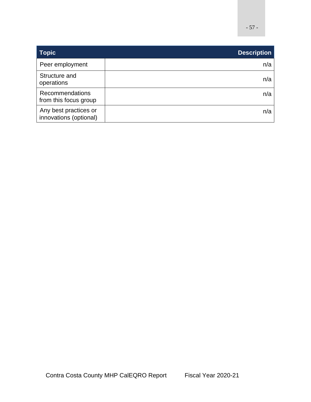| <b>Topic</b>                                    | <b>Description</b> |
|-------------------------------------------------|--------------------|
| Peer employment                                 | n/a                |
| Structure and<br>operations                     | n/a                |
| Recommendations<br>from this focus group        | n/a                |
| Any best practices or<br>innovations (optional) | n/a                |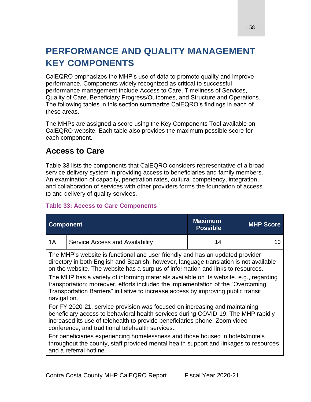# **PERFORMANCE AND QUALITY MANAGEMENT KEY COMPONENTS**

CalEQRO emphasizes the MHP's use of data to promote quality and improve performance. Components widely recognized as critical to successful performance management include Access to Care, Timeliness of Services, Quality of Care, Beneficiary Progress/Outcomes, and Structure and Operations. The following tables in this section summarize CalEQRO's findings in each of these areas.

The MHPs are assigned a score using the Key Components Tool available on CalEQRO website. Each table also provides the maximum possible score for each component.

# **Access to Care**

Table 33 lists the components that CalEQRO considers representative of a broad service delivery system in providing access to beneficiaries and family members. An examination of capacity, penetration rates, cultural competency, integration, and collaboration of services with other providers forms the foundation of access to and delivery of quality services.

### **Table 33: Access to Care Components**

| <b>Component</b>                                                                                                                                                                                                                                                                                   |                                                                                                                                                                                                                                                                                                                                                                                                                                                                                                                                                | <b>Maximum</b><br><b>Possible</b> | <b>MHP Score</b> |  |
|----------------------------------------------------------------------------------------------------------------------------------------------------------------------------------------------------------------------------------------------------------------------------------------------------|------------------------------------------------------------------------------------------------------------------------------------------------------------------------------------------------------------------------------------------------------------------------------------------------------------------------------------------------------------------------------------------------------------------------------------------------------------------------------------------------------------------------------------------------|-----------------------------------|------------------|--|
| 1A                                                                                                                                                                                                                                                                                                 | Service Access and Availability                                                                                                                                                                                                                                                                                                                                                                                                                                                                                                                | 14                                | 10               |  |
|                                                                                                                                                                                                                                                                                                    | The MHP's website is functional and user friendly and has an updated provider<br>directory in both English and Spanish; however, language translation is not available<br>on the website. The website has a surplus of information and links to resources.<br>The MHP has a variety of informing materials available on its website, e.g., regarding<br>transportation; moreover, efforts included the implementation of the "Overcoming"<br>Transportation Barriers" initiative to increase access by improving public transit<br>navigation. |                                   |                  |  |
| For FY 2020-21, service provision was focused on increasing and maintaining<br>beneficiary access to behavioral health services during COVID-19. The MHP rapidly<br>increased its use of telehealth to provide beneficiaries phone, Zoom video<br>conference, and traditional telehealth services. |                                                                                                                                                                                                                                                                                                                                                                                                                                                                                                                                                |                                   |                  |  |
|                                                                                                                                                                                                                                                                                                    | For beneficiaries experiencing homelessness and those housed in hotels/motels<br>throughout the county, staff provided mental health support and linkages to resources<br>and a referral hotline.                                                                                                                                                                                                                                                                                                                                              |                                   |                  |  |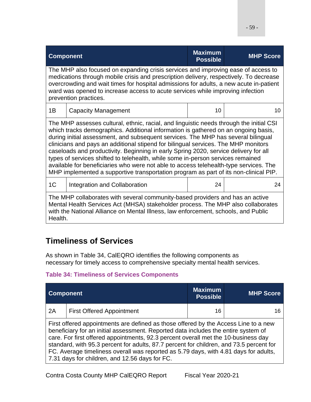| <b>Component</b>                                                                                                                                                                                                                                                                                                                                                                                                                                                                                                                                                                                                                                                                                                     |                                                                                                                                                                                                                                                         | <b>Maximum</b><br><b>Possible</b> | <b>MHP Score</b> |
|----------------------------------------------------------------------------------------------------------------------------------------------------------------------------------------------------------------------------------------------------------------------------------------------------------------------------------------------------------------------------------------------------------------------------------------------------------------------------------------------------------------------------------------------------------------------------------------------------------------------------------------------------------------------------------------------------------------------|---------------------------------------------------------------------------------------------------------------------------------------------------------------------------------------------------------------------------------------------------------|-----------------------------------|------------------|
| The MHP also focused on expanding crisis services and improving ease of access to<br>medications through mobile crisis and prescription delivery, respectively. To decrease<br>overcrowding and wait times for hospital admissions for adults, a new acute in-patient<br>ward was opened to increase access to acute services while improving infection<br>prevention practices.                                                                                                                                                                                                                                                                                                                                     |                                                                                                                                                                                                                                                         |                                   |                  |
| 1B                                                                                                                                                                                                                                                                                                                                                                                                                                                                                                                                                                                                                                                                                                                   | <b>Capacity Management</b>                                                                                                                                                                                                                              | 10                                | 10               |
| The MHP assesses cultural, ethnic, racial, and linguistic needs through the initial CSI<br>which tracks demographics. Additional information is gathered on an ongoing basis,<br>during initial assessment, and subsequent services. The MHP has several bilingual<br>clinicians and pays an additional stipend for bilingual services. The MHP monitors<br>caseloads and productivity. Beginning in early Spring 2020, service delivery for all<br>types of services shifted to telehealth, while some in-person services remained<br>available for beneficiaries who were not able to access telehealth-type services. The<br>MHP implemented a supportive transportation program as part of its non-clinical PIP. |                                                                                                                                                                                                                                                         |                                   |                  |
| 1 <sup>C</sup>                                                                                                                                                                                                                                                                                                                                                                                                                                                                                                                                                                                                                                                                                                       | Integration and Collaboration                                                                                                                                                                                                                           | 24                                | 24               |
| Health.                                                                                                                                                                                                                                                                                                                                                                                                                                                                                                                                                                                                                                                                                                              | The MHP collaborates with several community-based providers and has an active<br>Mental Health Services Act (MHSA) stakeholder process. The MHP also collaborates<br>with the National Alliance on Mental Illness, law enforcement, schools, and Public |                                   |                  |

# **Timeliness of Services**

As shown in Table 34, CalEQRO identifies the following components as necessary for timely access to comprehensive specialty mental health services.

### **Table 34: Timeliness of Services Components**

| <b>Component</b> |                                                                                                                                                                                                                                                                                                                                                                                                                                                                                                      | <b>Maximum</b><br><b>Possible</b> | <b>MHP Score</b> |
|------------------|------------------------------------------------------------------------------------------------------------------------------------------------------------------------------------------------------------------------------------------------------------------------------------------------------------------------------------------------------------------------------------------------------------------------------------------------------------------------------------------------------|-----------------------------------|------------------|
| 2A               | <b>First Offered Appointment</b>                                                                                                                                                                                                                                                                                                                                                                                                                                                                     | 16                                |                  |
|                  | First offered appointments are defined as those offered by the Access Line to a new<br>beneficiary for an initial assessment. Reported data includes the entire system of<br>care. For first offered appointments, 92.3 percent overall met the 10-business day<br>standard, with 95.3 percent for adults, 87.7 percent for children, and 73.5 percent for<br>FC. Average timeliness overall was reported as 5.79 days, with 4.81 days for adults,<br>7.31 days for children, and 12.56 days for FC. |                                   |                  |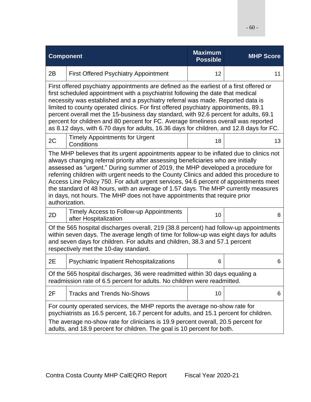| <b>Component</b>                                                                                                                                                                                                                                                                                                                     |                                                                                                                                                                                                                                                                                                                                                                                                                                                                                                                                                                                                                                      | <b>Maximum</b><br><b>Possible</b> | <b>MHP Score</b> |  |  |
|--------------------------------------------------------------------------------------------------------------------------------------------------------------------------------------------------------------------------------------------------------------------------------------------------------------------------------------|--------------------------------------------------------------------------------------------------------------------------------------------------------------------------------------------------------------------------------------------------------------------------------------------------------------------------------------------------------------------------------------------------------------------------------------------------------------------------------------------------------------------------------------------------------------------------------------------------------------------------------------|-----------------------------------|------------------|--|--|
| 2B                                                                                                                                                                                                                                                                                                                                   | <b>First Offered Psychiatry Appointment</b>                                                                                                                                                                                                                                                                                                                                                                                                                                                                                                                                                                                          | 12                                | 11               |  |  |
|                                                                                                                                                                                                                                                                                                                                      | First offered psychiatry appointments are defined as the earliest of a first offered or<br>first scheduled appointment with a psychiatrist following the date that medical<br>necessity was established and a psychiatry referral was made. Reported data is<br>limited to county operated clinics. For first offered psychiatry appointments, 89.1<br>percent overall met the 15-business day standard, with 92.6 percent for adults, 69.1<br>percent for children and 80 percent for FC. Average timeliness overall was reported<br>as 8.12 days, with 6.70 days for adults, 16.36 days for children, and 12.8 days for FC.        |                                   |                  |  |  |
| 2C                                                                                                                                                                                                                                                                                                                                   | <b>Timely Appointments for Urgent</b><br>Conditions                                                                                                                                                                                                                                                                                                                                                                                                                                                                                                                                                                                  | 18                                | 13               |  |  |
|                                                                                                                                                                                                                                                                                                                                      | The MHP believes that its urgent appointments appear to be inflated due to clinics not<br>always changing referral priority after assessing beneficiaries who are initially<br>assessed as "urgent." During summer of 2019, the MHP developed a procedure for<br>referring children with urgent needs to the County Clinics and added this procedure to<br>Access Line Policy 750. For adult urgent services, 94.6 percent of appointments meet<br>the standard of 48 hours, with an average of 1.57 days. The MHP currently measures<br>in days, not hours. The MHP does not have appointments that require prior<br>authorization. |                                   |                  |  |  |
| 2D                                                                                                                                                                                                                                                                                                                                   | Timely Access to Follow-up Appointments<br>after Hospitalization                                                                                                                                                                                                                                                                                                                                                                                                                                                                                                                                                                     | 10                                | 8                |  |  |
| Of the 565 hospital discharges overall, 219 (38.8 percent) had follow-up appointments<br>within seven days. The average length of time for follow-up was eight days for adults<br>and seven days for children. For adults and children, 38.3 and 57.1 percent<br>respectively met the 10-day standard.                               |                                                                                                                                                                                                                                                                                                                                                                                                                                                                                                                                                                                                                                      |                                   |                  |  |  |
| 2E                                                                                                                                                                                                                                                                                                                                   | <b>Psychiatric Inpatient Rehospitalizations</b>                                                                                                                                                                                                                                                                                                                                                                                                                                                                                                                                                                                      | 6                                 | 6                |  |  |
| Of the 565 hospital discharges, 36 were readmitted within 30 days equaling a<br>readmission rate of 6.5 percent for adults. No children were readmitted.                                                                                                                                                                             |                                                                                                                                                                                                                                                                                                                                                                                                                                                                                                                                                                                                                                      |                                   |                  |  |  |
| 2F                                                                                                                                                                                                                                                                                                                                   | <b>Tracks and Trends No-Shows</b>                                                                                                                                                                                                                                                                                                                                                                                                                                                                                                                                                                                                    | 10                                | 6                |  |  |
| For county operated services, the MHP reports the average no-show rate for<br>psychiatrists as 16.5 percent, 16.7 percent for adults, and 15.1 percent for children.<br>The average no-show rate for clinicians is 19.9 percent overall, 20.5 percent for<br>adults, and 18.9 percent for children. The goal is 10 percent for both. |                                                                                                                                                                                                                                                                                                                                                                                                                                                                                                                                                                                                                                      |                                   |                  |  |  |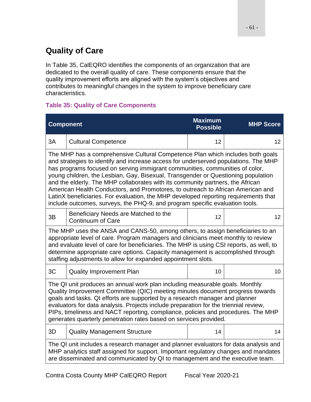# **Quality of Care**

In Table 35, CalEQRO identifies the components of an organization that are dedicated to the overall quality of care. These components ensure that the quality improvement efforts are aligned with the system's objectives and contributes to meaningful changes in the system to improve beneficiary care characteristics.

### **Table 35: Quality of Care Components**

| <b>Component</b>                                                                                                                                                                                                                                                                                                                                                                                                                                                                               |                                                                                                                                                                                                                                                                                                                                                                                                                                                                                                                                                                                                                                                                                        | <b>Maximum</b><br><b>Possible</b> | <b>MHP Score</b> |  |
|------------------------------------------------------------------------------------------------------------------------------------------------------------------------------------------------------------------------------------------------------------------------------------------------------------------------------------------------------------------------------------------------------------------------------------------------------------------------------------------------|----------------------------------------------------------------------------------------------------------------------------------------------------------------------------------------------------------------------------------------------------------------------------------------------------------------------------------------------------------------------------------------------------------------------------------------------------------------------------------------------------------------------------------------------------------------------------------------------------------------------------------------------------------------------------------------|-----------------------------------|------------------|--|
| 3A                                                                                                                                                                                                                                                                                                                                                                                                                                                                                             | <b>Cultural Competence</b>                                                                                                                                                                                                                                                                                                                                                                                                                                                                                                                                                                                                                                                             | 12                                | 12               |  |
|                                                                                                                                                                                                                                                                                                                                                                                                                                                                                                | The MHP has a comprehensive Cultural Competence Plan which includes both goals<br>and strategies to identify and increase access for underserved populations. The MHP<br>has programs focused on serving immigrant communities, communities of color,<br>young children, the Lesbian, Gay, Bisexual, Transgender or Questioning population<br>and the elderly. The MHP collaborates with its community partners, the African<br>American Health Conductors, and Promotores, to outreach to African American and<br>LatinX beneficiaries. For evaluation, the MHP developed reporting requirements that<br>include outcomes, surveys, the PHQ-9, and program specific evaluation tools. |                                   |                  |  |
| 3B                                                                                                                                                                                                                                                                                                                                                                                                                                                                                             | Beneficiary Needs are Matched to the<br><b>Continuum of Care</b>                                                                                                                                                                                                                                                                                                                                                                                                                                                                                                                                                                                                                       | 12                                | 12 <sup>2</sup>  |  |
|                                                                                                                                                                                                                                                                                                                                                                                                                                                                                                | The MHP uses the ANSA and CANS-50, among others, to assign beneficiaries to an<br>appropriate level of care. Program managers and clinicians meet monthly to review<br>and evaluate level of care for beneficiaries. The MHP is using CSI reports, as well, to<br>determine appropriate care options. Capacity management is accomplished through<br>staffing adjustments to allow for expanded appointment slots.                                                                                                                                                                                                                                                                     |                                   |                  |  |
| 3C                                                                                                                                                                                                                                                                                                                                                                                                                                                                                             | <b>Quality Improvement Plan</b>                                                                                                                                                                                                                                                                                                                                                                                                                                                                                                                                                                                                                                                        | 10                                | 10               |  |
| The QI unit produces an annual work plan including measurable goals. Monthly<br>Quality Improvement Committee (QIC) meeting minutes document progress towards<br>goals and tasks. QI efforts are supported by a research manager and planner<br>evaluators for data analysis. Projects include preparation for the triennial review,<br>PIPs, timeliness and NACT reporting, compliance, policies and procedures. The MHP<br>generates quarterly penetration rates based on services provided. |                                                                                                                                                                                                                                                                                                                                                                                                                                                                                                                                                                                                                                                                                        |                                   |                  |  |
| 3D                                                                                                                                                                                                                                                                                                                                                                                                                                                                                             | <b>Quality Management Structure</b>                                                                                                                                                                                                                                                                                                                                                                                                                                                                                                                                                                                                                                                    | 14                                | 14               |  |
| The QI unit includes a research manager and planner evaluators for data analysis and<br>MHP analytics staff assigned for support. Important regulatory changes and mandates<br>are disseminated and communicated by QI to management and the executive team.                                                                                                                                                                                                                                   |                                                                                                                                                                                                                                                                                                                                                                                                                                                                                                                                                                                                                                                                                        |                                   |                  |  |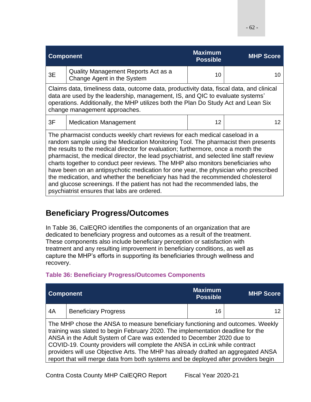| <b>Component</b>                                                                                                                                                                                                                                                                                                                                                                                                                                                                                                                                                                                                                                                                                                                             |                                                                   | <b>Maximum</b><br><b>Possible</b> | <b>MHP Score</b> |
|----------------------------------------------------------------------------------------------------------------------------------------------------------------------------------------------------------------------------------------------------------------------------------------------------------------------------------------------------------------------------------------------------------------------------------------------------------------------------------------------------------------------------------------------------------------------------------------------------------------------------------------------------------------------------------------------------------------------------------------------|-------------------------------------------------------------------|-----------------------------------|------------------|
| 3E                                                                                                                                                                                                                                                                                                                                                                                                                                                                                                                                                                                                                                                                                                                                           | Quality Management Reports Act as a<br>Change Agent in the System | 10                                | 10               |
| Claims data, timeliness data, outcome data, productivity data, fiscal data, and clinical<br>data are used by the leadership, management, IS, and QIC to evaluate systems'<br>operations. Additionally, the MHP utilizes both the Plan Do Study Act and Lean Six<br>change management approaches.                                                                                                                                                                                                                                                                                                                                                                                                                                             |                                                                   |                                   |                  |
| 3F                                                                                                                                                                                                                                                                                                                                                                                                                                                                                                                                                                                                                                                                                                                                           | <b>Medication Management</b>                                      | 12                                | 12               |
| The pharmacist conducts weekly chart reviews for each medical caseload in a<br>random sample using the Medication Monitoring Tool. The pharmacist then presents<br>the results to the medical director for evaluation; furthermore, once a month the<br>pharmacist, the medical director, the lead psychiatrist, and selected line staff review<br>charts together to conduct peer reviews. The MHP also monitors beneficiaries who<br>have been on an antipsychotic medication for one year, the physician who prescribed<br>the medication, and whether the beneficiary has had the recommended cholesterol<br>and glucose screenings. If the patient has not had the recommended labs, the<br>psychiatrist ensures that labs are ordered. |                                                                   |                                   |                  |

## **Beneficiary Progress/Outcomes**

In Table 36, CalEQRO identifies the components of an organization that are dedicated to beneficiary progress and outcomes as a result of the treatment. These components also include beneficiary perception or satisfaction with treatment and any resulting improvement in beneficiary conditions, as well as capture the MHP's efforts in supporting its beneficiaries through wellness and recovery.

| <b>Component</b> |                                                                                                                                                                                                                                                                                                                                                                                                                                                                                                      | <b>Maximum</b><br><b>Possible</b> | <b>MHP Score</b> |
|------------------|------------------------------------------------------------------------------------------------------------------------------------------------------------------------------------------------------------------------------------------------------------------------------------------------------------------------------------------------------------------------------------------------------------------------------------------------------------------------------------------------------|-----------------------------------|------------------|
| 4A               | <b>Beneficiary Progress</b>                                                                                                                                                                                                                                                                                                                                                                                                                                                                          | 16                                |                  |
|                  | The MHP chose the ANSA to measure beneficiary functioning and outcomes. Weekly<br>training was slated to begin February 2020. The implementation deadline for the<br>ANSA in the Adult System of Care was extended to December 2020 due to<br>COVID-19. County providers will complete the ANSA in ccLink while contract<br>providers will use Objective Arts. The MHP has already drafted an aggregated ANSA<br>report that will merge data from both systems and be deployed after providers begin |                                   |                  |

### **Table 36: Beneficiary Progress/Outcomes Components**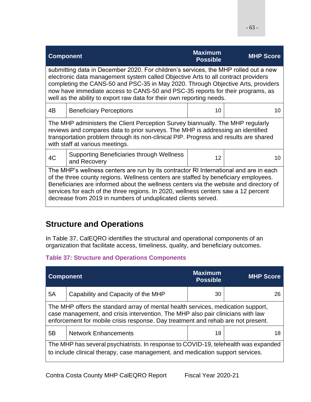| <b>Component</b>                                                                                                                                                                                                                                                                                                                                                                                                        |                                                                                                                                                                                                                                                                                                                                                                                                                               | <b>Maximum</b><br><b>Possible</b> | <b>MHP Score</b> |
|-------------------------------------------------------------------------------------------------------------------------------------------------------------------------------------------------------------------------------------------------------------------------------------------------------------------------------------------------------------------------------------------------------------------------|-------------------------------------------------------------------------------------------------------------------------------------------------------------------------------------------------------------------------------------------------------------------------------------------------------------------------------------------------------------------------------------------------------------------------------|-----------------------------------|------------------|
| submitting data in December 2020. For children's services, the MHP rolled out a new<br>electronic data management system called Objective Arts to all contract providers<br>completing the CANS-50 and PSC-35 in May 2020. Through Objective Arts, providers<br>now have immediate access to CANS-50 and PSC-35 reports for their programs, as<br>well as the ability to export raw data for their own reporting needs. |                                                                                                                                                                                                                                                                                                                                                                                                                               |                                   |                  |
| 4B                                                                                                                                                                                                                                                                                                                                                                                                                      | <b>Beneficiary Perceptions</b>                                                                                                                                                                                                                                                                                                                                                                                                | 10                                | 10               |
| The MHP administers the Client Perception Survey biannually. The MHP regularly<br>reviews and compares data to prior surveys. The MHP is addressing an identified<br>transportation problem through its non-clinical PIP. Progress and results are shared<br>with staff at various meetings.                                                                                                                            |                                                                                                                                                                                                                                                                                                                                                                                                                               |                                   |                  |
| 4C                                                                                                                                                                                                                                                                                                                                                                                                                      | <b>Supporting Beneficiaries through Wellness</b><br>and Recovery                                                                                                                                                                                                                                                                                                                                                              | 12                                | 10               |
|                                                                                                                                                                                                                                                                                                                                                                                                                         | The MHP's wellness centers are run by its contractor RI International and are in each<br>of the three county regions. Wellness centers are staffed by beneficiary employees.<br>Beneficiaries are informed about the wellness centers via the website and directory of<br>services for each of the three regions. In 2020, wellness centers saw a 12 percent<br>decrease from 2019 in numbers of unduplicated clients served. |                                   |                  |

# **Structure and Operations**

In Table 37, CalEQRO identifies the structural and operational components of an organization that facilitate access, timeliness, quality, and beneficiary outcomes.

### **Table 37: Structure and Operations Components**

| <b>Component</b>                                                                                                                                                                                                                                        |                                                                                                                                                                       | <b>Maximum</b><br><b>Possible</b> | <b>MHP Score</b> |  |
|---------------------------------------------------------------------------------------------------------------------------------------------------------------------------------------------------------------------------------------------------------|-----------------------------------------------------------------------------------------------------------------------------------------------------------------------|-----------------------------------|------------------|--|
| 5A                                                                                                                                                                                                                                                      | Capability and Capacity of the MHP                                                                                                                                    | 30                                | 26               |  |
| The MHP offers the standard array of mental health services, medication support,<br>case management, and crisis intervention. The MHP also pair clinicians with law<br>enforcement for mobile crisis response. Day treatment and rehab are not present. |                                                                                                                                                                       |                                   |                  |  |
| 5B                                                                                                                                                                                                                                                      | <b>Network Enhancements</b>                                                                                                                                           | 18                                | 18               |  |
|                                                                                                                                                                                                                                                         | The MHP has several psychiatrists. In response to COVID-19, telehealth was expanded<br>to include clinical therapy, case management, and medication support services. |                                   |                  |  |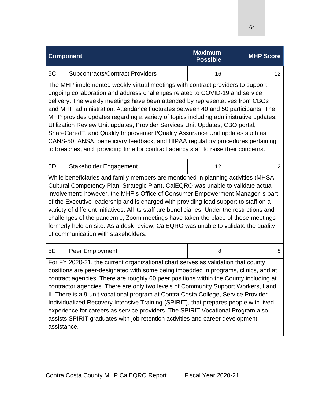| <b>Component</b>                                                                                                                                                                                                                                                                                                                                                                                                                                                                                                                                                                                                                                                                                                                                                      |                                                                                                                                                                                                                                                                                                                                                                                                                                                                                                                                                                                                                                                                                                           | <b>Maximum</b><br><b>Possible</b> | <b>MHP Score</b> |  |
|-----------------------------------------------------------------------------------------------------------------------------------------------------------------------------------------------------------------------------------------------------------------------------------------------------------------------------------------------------------------------------------------------------------------------------------------------------------------------------------------------------------------------------------------------------------------------------------------------------------------------------------------------------------------------------------------------------------------------------------------------------------------------|-----------------------------------------------------------------------------------------------------------------------------------------------------------------------------------------------------------------------------------------------------------------------------------------------------------------------------------------------------------------------------------------------------------------------------------------------------------------------------------------------------------------------------------------------------------------------------------------------------------------------------------------------------------------------------------------------------------|-----------------------------------|------------------|--|
| 5C                                                                                                                                                                                                                                                                                                                                                                                                                                                                                                                                                                                                                                                                                                                                                                    | <b>Subcontracts/Contract Providers</b>                                                                                                                                                                                                                                                                                                                                                                                                                                                                                                                                                                                                                                                                    | 16                                | 12               |  |
| The MHP implemented weekly virtual meetings with contract providers to support<br>ongoing collaboration and address challenges related to COVID-19 and service<br>delivery. The weekly meetings have been attended by representatives from CBOs<br>and MHP administration. Attendance fluctuates between 40 and 50 participants. The<br>MHP provides updates regarding a variety of topics including administrative updates,<br>Utilization Review Unit updates, Provider Services Unit Updates, CBO portal,<br>ShareCare/IT, and Quality Improvement/Quality Assurance Unit updates such as<br>CANS-50, ANSA, beneficiary feedback, and HIPAA regulatory procedures pertaining<br>to breaches, and providing time for contract agency staff to raise their concerns. |                                                                                                                                                                                                                                                                                                                                                                                                                                                                                                                                                                                                                                                                                                           |                                   |                  |  |
| 5D                                                                                                                                                                                                                                                                                                                                                                                                                                                                                                                                                                                                                                                                                                                                                                    | Stakeholder Engagement                                                                                                                                                                                                                                                                                                                                                                                                                                                                                                                                                                                                                                                                                    | 12                                | 12               |  |
| While beneficiaries and family members are mentioned in planning activities (MHSA,<br>Cultural Competency Plan, Strategic Plan), CalEQRO was unable to validate actual<br>involvement; however, the MHP's Office of Consumer Empowerment Manager is part<br>of the Executive leadership and is charged with providing lead support to staff on a<br>variety of different initiatives. All its staff are beneficiaries. Under the restrictions and<br>challenges of the pandemic, Zoom meetings have taken the place of those meetings<br>formerly held on-site. As a desk review, CalEQRO was unable to validate the quality<br>of communication with stakeholders.                                                                                                   |                                                                                                                                                                                                                                                                                                                                                                                                                                                                                                                                                                                                                                                                                                           |                                   |                  |  |
| 5E                                                                                                                                                                                                                                                                                                                                                                                                                                                                                                                                                                                                                                                                                                                                                                    | Peer Employment                                                                                                                                                                                                                                                                                                                                                                                                                                                                                                                                                                                                                                                                                           | 8                                 | 8                |  |
| assistance.                                                                                                                                                                                                                                                                                                                                                                                                                                                                                                                                                                                                                                                                                                                                                           | For FY 2020-21, the current organizational chart serves as validation that county<br>positions are peer-designated with some being imbedded in programs, clinics, and at<br>contract agencies. There are roughly 60 peer positions within the County including at<br>contractor agencies. There are only two levels of Community Support Workers, I and<br>II. There is a 9-unit vocational program at Contra Costa College, Service Provider<br>Individualized Recovery Intensive Training (SPIRIT), that prepares people with lived<br>experience for careers as service providers. The SPIRIT Vocational Program also<br>assists SPIRIT graduates with job retention activities and career development |                                   |                  |  |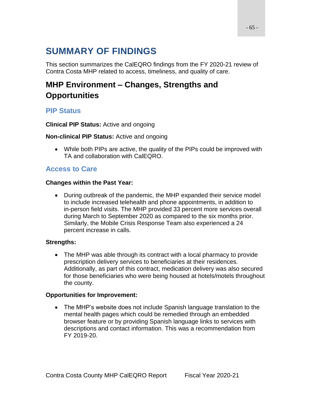This section summarizes the CalEQRO findings from the FY 2020-21 review of Contra Costa MHP related to access, timeliness, and quality of care.

# **MHP Environment – Changes, Strengths and Opportunities**

## **PIP Status**

**Clinical PIP Status:** Active and ongoing

### **Non-clinical PIP Status:** Active and ongoing

• While both PIPs are active, the quality of the PIPs could be improved with TA and collaboration with CalEQRO.

## **Access to Care**

### **Changes within the Past Year:**

• During outbreak of the pandemic, the MHP expanded their service model to include increased telehealth and phone appointments, in addition to in-person field visits. The MHP provided 33 percent more services overall during March to September 2020 as compared to the six months prior. Similarly, the Mobile Crisis Response Team also experienced a 24 percent increase in calls.

### **Strengths:**

• The MHP was able through its contract with a local pharmacy to provide prescription delivery services to beneficiaries at their residences. Additionally, as part of this contract, medication delivery was also secured for those beneficiaries who were being housed at hotels/motels throughout the county.

### **Opportunities for Improvement:**

• The MHP's website does not include Spanish language translation to the mental health pages which could be remedied through an embedded browser feature or by providing Spanish language links to services with descriptions and contact information. This was a recommendation from FY 2019-20.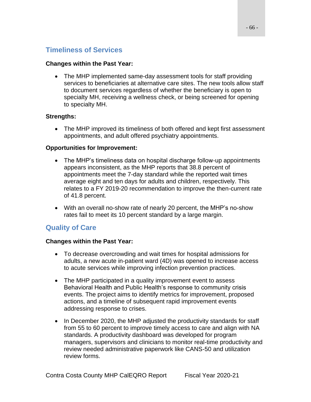### **Timeliness of Services**

#### **Changes within the Past Year:**

• The MHP implemented same-day assessment tools for staff providing services to beneficiaries at alternative care sites. The new tools allow staff to document services regardless of whether the beneficiary is open to specialty MH, receiving a wellness check, or being screened for opening to specialty MH.

#### **Strengths:**

• The MHP improved its timeliness of both offered and kept first assessment appointments, and adult offered psychiatry appointments.

#### **Opportunities for Improvement:**

- The MHP's timeliness data on hospital discharge follow-up appointments appears inconsistent, as the MHP reports that 38.8 percent of appointments meet the 7-day standard while the reported wait times average eight and ten days for adults and children, respectively. This relates to a FY 2019-20 recommendation to improve the then-current rate of 41.8 percent.
- With an overall no-show rate of nearly 20 percent, the MHP's no-show rates fail to meet its 10 percent standard by a large margin.

### **Quality of Care**

#### **Changes within the Past Year:**

- To decrease overcrowding and wait times for hospital admissions for adults, a new acute in-patient ward (4D) was opened to increase access to acute services while improving infection prevention practices.
- The MHP participated in a quality improvement event to assess Behavioral Health and Public Health's response to community crisis events. The project aims to identify metrics for improvement, proposed actions, and a timeline of subsequent rapid improvement events addressing response to crises.
- In December 2020, the MHP adjusted the productivity standards for staff from 55 to 60 percent to improve timely access to care and align with NA standards. A productivity dashboard was developed for program managers, supervisors and clinicians to monitor real-time productivity and review needed administrative paperwork like CANS-50 and utilization review forms.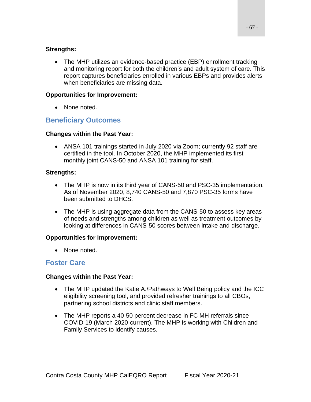• The MHP utilizes an evidence-based practice (EBP) enrollment tracking and monitoring report for both the children's and adult system of care. This report captures beneficiaries enrolled in various EBPs and provides alerts when beneficiaries are missing data.

### **Opportunities for Improvement:**

• None noted.

## **Beneficiary Outcomes**

#### **Changes within the Past Year:**

• ANSA 101 trainings started in July 2020 via Zoom; currently 92 staff are certified in the tool. In October 2020, the MHP implemented its first monthly joint CANS-50 and ANSA 101 training for staff.

### **Strengths:**

- The MHP is now in its third year of CANS-50 and PSC-35 implementation. As of November 2020, 8,740 CANS-50 and 7,870 PSC-35 forms have been submitted to DHCS.
- The MHP is using aggregate data from the CANS-50 to assess key areas of needs and strengths among children as well as treatment outcomes by looking at differences in CANS-50 scores between intake and discharge.

#### **Opportunities for Improvement:**

• None noted.

### **Foster Care**

#### **Changes within the Past Year:**

- The MHP updated the Katie A./Pathways to Well Being policy and the ICC eligibility screening tool, and provided refresher trainings to all CBOs, partnering school districts and clinic staff members.
- The MHP reports a 40-50 percent decrease in FC MH referrals since COVID-19 (March 2020-current). The MHP is working with Children and Family Services to identify causes.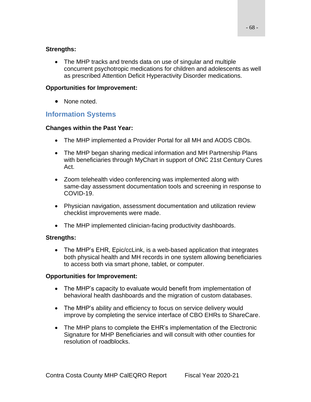#### **Strengths:**

• The MHP tracks and trends data on use of singular and multiple concurrent psychotropic medications for children and adolescents as well as prescribed Attention Deficit Hyperactivity Disorder medications.

#### **Opportunities for Improvement:**

• None noted.

### **Information Systems**

#### **Changes within the Past Year:**

- The MHP implemented a Provider Portal for all MH and AODS CBOs.
- The MHP began sharing medical information and MH Partnership Plans with beneficiaries through MyChart in support of ONC 21st Century Cures Act.
- Zoom telehealth video conferencing was implemented along with same-day assessment documentation tools and screening in response to COVID-19.
- Physician navigation, assessment documentation and utilization review checklist improvements were made.
- The MHP implemented clinician-facing productivity dashboards.

### **Strengths:**

• The MHP's EHR, Epic/ccLink, is a web-based application that integrates both physical health and MH records in one system allowing beneficiaries to access both via smart phone, tablet, or computer.

#### **Opportunities for Improvement:**

- The MHP's capacity to evaluate would benefit from implementation of behavioral health dashboards and the migration of custom databases.
- The MHP's ability and efficiency to focus on service delivery would improve by completing the service interface of CBO EHRs to ShareCare.
- The MHP plans to complete the EHR's implementation of the Electronic Signature for MHP Beneficiaries and will consult with other counties for resolution of roadblocks.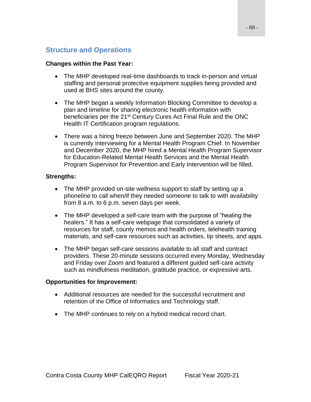### **Structure and Operations**

#### **Changes within the Past Year:**

- The MHP developed real-time dashboards to track in-person and virtual staffing and personal protective equipment supplies being provided and used at BHS sites around the county.
- The MHP began a weekly Information Blocking Committee to develop a plan and timeline for sharing electronic health information with beneficiaries per the 21<sup>st</sup> Century Cures Act Final Rule and the ONC Health IT Certification program regulations.
- There was a hiring freeze between June and September 2020. The MHP is currently interviewing for a Mental Health Program Chief. In November and December 2020, the MHP hired a Mental Health Program Supervisor for Education-Related Mental Health Services and the Mental Health Program Supervisor for Prevention and Early Intervention will be filled.

#### **Strengths:**

- The MHP provided on-site wellness support to staff by setting up a phoneline to call when/if they needed someone to talk to with availability from 8 a.m. to 6 p.m. seven days per week.
- The MHP developed a self-care team with the purpose of "healing the healers." It has a self-care webpage that consolidated a variety of resources for staff, county memos and health orders, telehealth training materials, and self-care resources such as activities, tip sheets, and apps.
- The MHP began self-care sessions available to all staff and contract providers. These 20-minute sessions occurred every Monday, Wednesday and Friday over Zoom and featured a different guided self-care activity such as mindfulness meditation, gratitude practice, or expressive arts.

#### **Opportunities for Improvement:**

- Additional resources are needed for the successful recruitment and retention of the Office of Informatics and Technology staff.
- The MHP continues to rely on a hybrid medical record chart.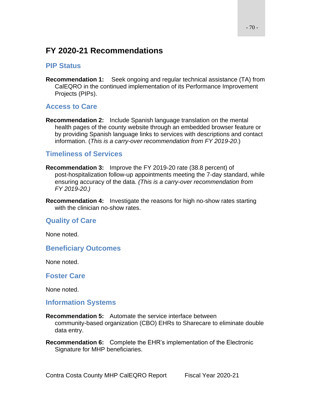# **FY 2020-21 Recommendations**

### **PIP Status**

**Recommendation 1:** Seek ongoing and regular technical assistance (TA) from CalEQRO in the continued implementation of its Performance Improvement Projects (PIPs).

### **Access to Care**

**Recommendation 2:** Include Spanish language translation on the mental health pages of the county website through an embedded browser feature or by providing Spanish language links to services with descriptions and contact information. (*This is a carry-over recommendation from FY 2019-20*.)

### **Timeliness of Services**

- **Recommendation 3:** Improve the FY 2019-20 rate (38.8 percent) of post-hospitalization follow-up appointments meeting the 7-day standard, while ensuring accuracy of the data. *(This is a carry-over recommendation from FY 2019-20.)*
- **Recommendation 4:** Investigate the reasons for high no-show rates starting with the clinician no-show rates.

### **Quality of Care**

None noted.

### **Beneficiary Outcomes**

None noted.

#### **Foster Care**

None noted.

### **Information Systems**

- **Recommendation 5:** Automate the service interface between community-based organization (CBO) EHRs to Sharecare to eliminate double data entry.
- **Recommendation 6:** Complete the EHR's implementation of the Electronic Signature for MHP beneficiaries.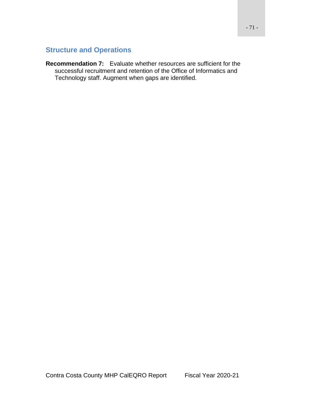## **Structure and Operations**

**Recommendation 7:** Evaluate whether resources are sufficient for the successful recruitment and retention of the Office of Informatics and Technology staff. Augment when gaps are identified.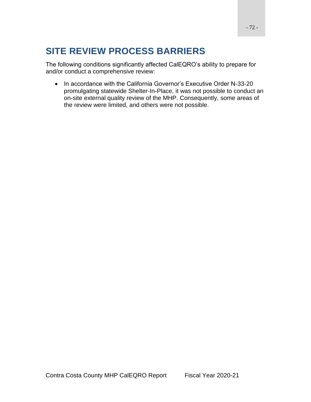# **SITE REVIEW PROCESS BARRIERS**

The following conditions significantly affected CalEQRO's ability to prepare for and/or conduct a comprehensive review:

• In accordance with the California Governor's Executive Order N-33-20 promulgating statewide Shelter-In-Place, it was not possible to conduct an on-site external quality review of the MHP. Consequently, some areas of the review were limited, and others were not possible.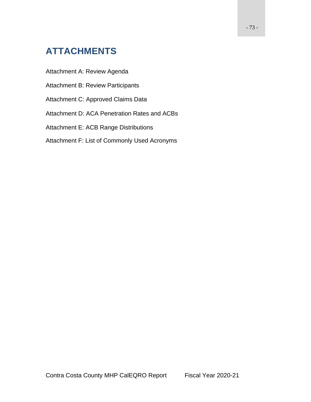# **ATTACHMENTS**

Attachment A: Review Agenda

- Attachment B: Review Participants
- Attachment C: Approved Claims Data
- Attachment D: ACA Penetration Rates and ACBs
- Attachment E: ACB Range Distributions
- Attachment F: List of Commonly Used Acronyms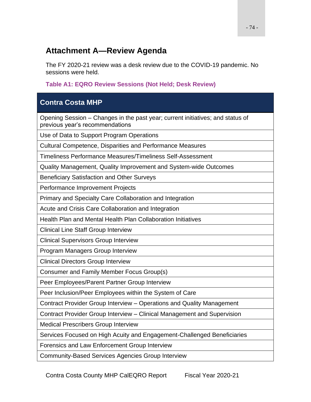## **Attachment A—Review Agenda**

The FY 2020-21 review was a desk review due to the COVID-19 pandemic. No sessions were held.

**Table A1: EQRO Review Sessions (Not Held; Desk Review)**

### **Contra Costa MHP**

Opening Session – Changes in the past year; current initiatives; and status of previous year's recommendations

Use of Data to Support Program Operations

Cultural Competence, Disparities and Performance Measures

Timeliness Performance Measures/Timeliness Self-Assessment

Quality Management, Quality Improvement and System-wide Outcomes

Beneficiary Satisfaction and Other Surveys

Performance Improvement Projects

Primary and Specialty Care Collaboration and Integration

Acute and Crisis Care Collaboration and Integration

Health Plan and Mental Health Plan Collaboration Initiatives

Clinical Line Staff Group Interview

Clinical Supervisors Group Interview

Program Managers Group Interview

Clinical Directors Group Interview

Consumer and Family Member Focus Group(s)

Peer Employees/Parent Partner Group Interview

Peer Inclusion/Peer Employees within the System of Care

Contract Provider Group Interview – Operations and Quality Management

Contract Provider Group Interview – Clinical Management and Supervision

Medical Prescribers Group Interview

Services Focused on High Acuity and Engagement-Challenged Beneficiaries

Forensics and Law Enforcement Group Interview

Community-Based Services Agencies Group Interview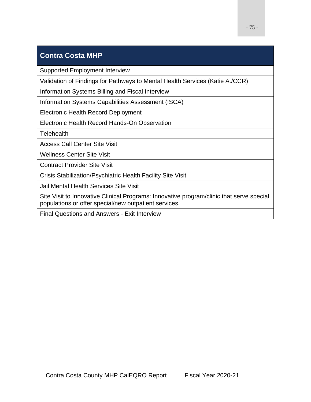### **Contra Costa MHP**

Supported Employment Interview

Validation of Findings for Pathways to Mental Health Services (Katie A./CCR)

Information Systems Billing and Fiscal Interview

Information Systems Capabilities Assessment (ISCA)

Electronic Health Record Deployment

Electronic Health Record Hands-On Observation

**Telehealth** 

Access Call Center Site Visit

Wellness Center Site Visit

Contract Provider Site Visit

Crisis Stabilization/Psychiatric Health Facility Site Visit

Jail Mental Health Services Site Visit

Site Visit to Innovative Clinical Programs: Innovative program/clinic that serve special populations or offer special/new outpatient services.

Final Questions and Answers - Exit Interview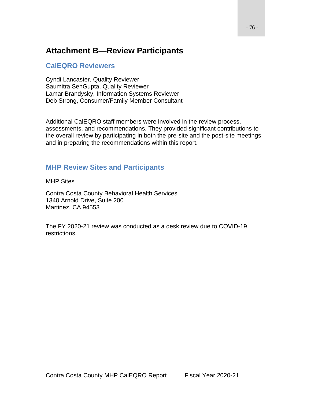## **Attachment B—Review Participants**

#### **CalEQRO Reviewers**

Cyndi Lancaster, Quality Reviewer Saumitra SenGupta, Quality Reviewer Lamar Brandysky, Information Systems Reviewer Deb Strong, Consumer/Family Member Consultant

Additional CalEQRO staff members were involved in the review process, assessments, and recommendations. They provided significant contributions to the overall review by participating in both the pre-site and the post-site meetings and in preparing the recommendations within this report.

### **MHP Review Sites and Participants**

MHP Sites

Contra Costa County Behavioral Health Services 1340 Arnold Drive, Suite 200 Martinez, CA 94553

The FY 2020-21 review was conducted as a desk review due to COVID-19 restrictions.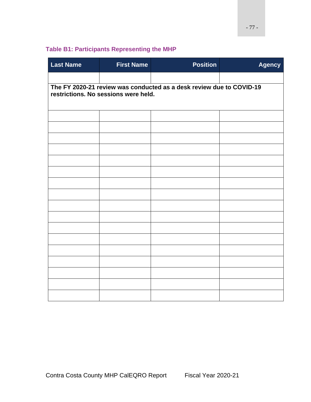### **Table B1: Participants Representing the MHP**

| <b>Last Name</b> | <b>First Name</b>                                                                                            | <b>Position</b> | <b>Agency</b> |  |  |
|------------------|--------------------------------------------------------------------------------------------------------------|-----------------|---------------|--|--|
|                  |                                                                                                              |                 |               |  |  |
|                  | The FY 2020-21 review was conducted as a desk review due to COVID-19<br>restrictions. No sessions were held. |                 |               |  |  |
|                  |                                                                                                              |                 |               |  |  |
|                  |                                                                                                              |                 |               |  |  |
|                  |                                                                                                              |                 |               |  |  |
|                  |                                                                                                              |                 |               |  |  |
|                  |                                                                                                              |                 |               |  |  |
|                  |                                                                                                              |                 |               |  |  |
|                  |                                                                                                              |                 |               |  |  |
|                  |                                                                                                              |                 |               |  |  |
|                  |                                                                                                              |                 |               |  |  |
|                  |                                                                                                              |                 |               |  |  |
|                  |                                                                                                              |                 |               |  |  |
|                  |                                                                                                              |                 |               |  |  |
|                  |                                                                                                              |                 |               |  |  |
|                  |                                                                                                              |                 |               |  |  |
|                  |                                                                                                              |                 |               |  |  |
|                  |                                                                                                              |                 |               |  |  |
|                  |                                                                                                              |                 |               |  |  |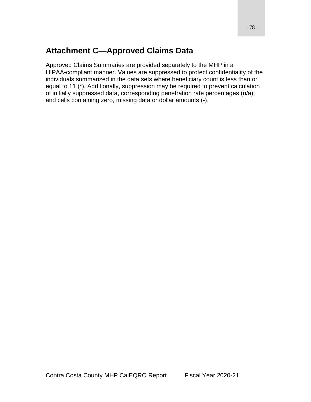## **Attachment C—Approved Claims Data**

Approved Claims Summaries are provided separately to the MHP in a HIPAA-compliant manner. Values are suppressed to protect confidentiality of the individuals summarized in the data sets where beneficiary count is less than or equal to 11 (\*). Additionally, suppression may be required to prevent calculation of initially suppressed data, corresponding penetration rate percentages (n/a); and cells containing zero, missing data or dollar amounts (-).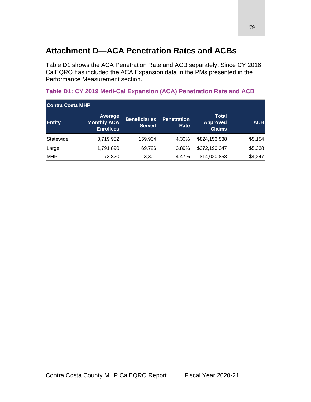## **Attachment D—ACA Penetration Rates and ACBs**

Table D1 shows the ACA Penetration Rate and ACB separately. Since CY 2016, CalEQRO has included the ACA Expansion data in the PMs presented in the Performance Measurement section.

| <b>Contra Costa MHP</b> |                                                          |                                       |                                   |                                                  |            |
|-------------------------|----------------------------------------------------------|---------------------------------------|-----------------------------------|--------------------------------------------------|------------|
| <b>Entity</b>           | <b>Average</b><br><b>Monthly ACA</b><br><b>Enrollees</b> | <b>Beneficiaries</b><br><b>Served</b> | <b>Penetration</b><br><b>Rate</b> | <b>Total</b><br><b>Approved</b><br><b>Claims</b> | <b>ACB</b> |
| Statewide               | 3,719,952                                                | 159,904                               | 4.30%                             | \$824,153,538                                    | \$5,154    |
| Large                   | 1,791,890                                                | 69,726                                | 3.89%                             | \$372,190,347                                    | \$5,338    |
| <b>MHP</b>              | 73,820                                                   | 3,301                                 | 4.47%                             | \$14,020,858                                     | \$4,247    |

### **Table D1: CY 2019 Medi-Cal Expansion (ACA) Penetration Rate and ACB**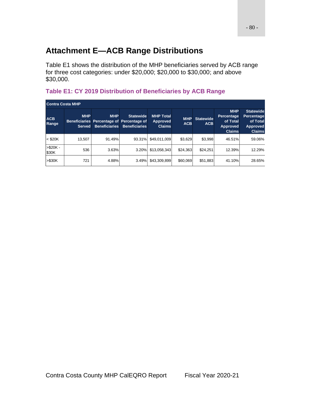# **Attachment E—ACB Range Distributions**

Table E1 shows the distribution of the MHP beneficiaries served by ACB range for three cost categories: under \$20,000; \$20,000 to \$30,000; and above \$30,000.

#### **Table E1: CY 2019 Distribution of Beneficiaries by ACB Range**

| <b>Contra Costa MHP</b> |                             |                                                                                 |                                          |                                                      |                          |                                |                                                                                 |                                                                                |
|-------------------------|-----------------------------|---------------------------------------------------------------------------------|------------------------------------------|------------------------------------------------------|--------------------------|--------------------------------|---------------------------------------------------------------------------------|--------------------------------------------------------------------------------|
| <b>ACB</b><br>Range     | <b>MHP</b><br><b>Served</b> | <b>MHP</b><br>Beneficiaries Percentage of Percentage of<br><b>Beneficiaries</b> | <b>Statewide</b><br><b>Beneficiaries</b> | <b>MHP Total</b><br><b>Approved</b><br><b>Claims</b> | <b>MHP</b><br><b>ACB</b> | <b>Statewide</b><br><b>ACB</b> | <b>MHP</b><br><b>Percentage</b><br>of Total<br><b>Approved</b><br><b>Claims</b> | <b>Statewide</b><br>Percentage<br>of Total<br><b>Approved</b><br><b>Claims</b> |
| $<$ \$20K               | 13,507                      | 91.49%                                                                          | 93.31%                                   | \$49,011,009                                         | \$3,629                  | \$3,998                        | 46.51%                                                                          | 59.06%                                                                         |
| $> $20K -$<br>\$30K     | 536                         | 3.63%                                                                           | 3.20%                                    | \$13,058,343                                         | \$24,363                 | \$24,251                       | 12.39%                                                                          | 12.29%                                                                         |
| > \$30K                 | 721                         | 4.88%                                                                           | 3.49%                                    | \$43,309,899                                         | \$60,069                 | \$51,883                       | 41.10%                                                                          | 28.65%                                                                         |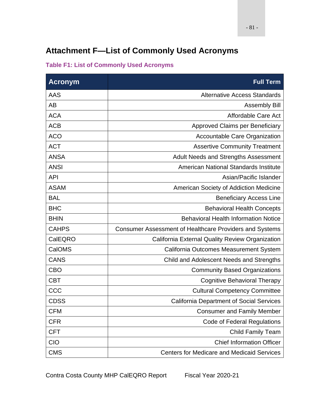# **Attachment F—List of Commonly Used Acronyms**

| <b>Acronym</b> | <b>Full Term</b>                                        |
|----------------|---------------------------------------------------------|
| <b>AAS</b>     | <b>Alternative Access Standards</b>                     |
| <b>AB</b>      | <b>Assembly Bill</b>                                    |
| <b>ACA</b>     | Affordable Care Act                                     |
| <b>ACB</b>     | Approved Claims per Beneficiary                         |
| <b>ACO</b>     | Accountable Care Organization                           |
| <b>ACT</b>     | <b>Assertive Community Treatment</b>                    |
| <b>ANSA</b>    | Adult Needs and Strengths Assessment                    |
| <b>ANSI</b>    | American National Standards Institute                   |
| <b>API</b>     | Asian/Pacific Islander                                  |
| <b>ASAM</b>    | American Society of Addiction Medicine                  |
| <b>BAL</b>     | <b>Beneficiary Access Line</b>                          |
| <b>BHC</b>     | <b>Behavioral Health Concepts</b>                       |
| <b>BHIN</b>    | <b>Behavioral Health Information Notice</b>             |
| <b>CAHPS</b>   | Consumer Assessment of Healthcare Providers and Systems |
| CalEQRO        | California External Quality Review Organization         |
| CalOMS         | California Outcomes Measurement System                  |
| <b>CANS</b>    | Child and Adolescent Needs and Strengths                |
| <b>CBO</b>     | <b>Community Based Organizations</b>                    |
| <b>CBT</b>     | <b>Cognitive Behavioral Therapy</b>                     |
| CCC            | <b>Cultural Competency Committee</b>                    |
| <b>CDSS</b>    | <b>California Department of Social Services</b>         |
| <b>CFM</b>     | <b>Consumer and Family Member</b>                       |
| <b>CFR</b>     | <b>Code of Federal Regulations</b>                      |
| <b>CFT</b>     | <b>Child Family Team</b>                                |
| <b>CIO</b>     | <b>Chief Information Officer</b>                        |
| <b>CMS</b>     | <b>Centers for Medicare and Medicaid Services</b>       |

#### **Table F1: List of Commonly Used Acronyms**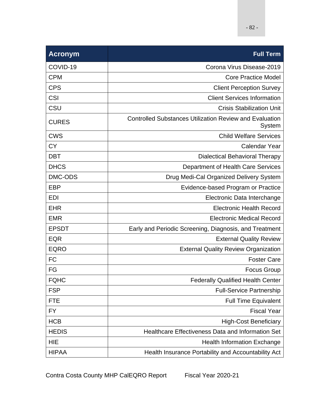| <b>Acronym</b> | <b>Full Term</b>                                                         |
|----------------|--------------------------------------------------------------------------|
| COVID-19       | Corona Virus Disease-2019                                                |
| <b>CPM</b>     | <b>Core Practice Model</b>                                               |
| <b>CPS</b>     | <b>Client Perception Survey</b>                                          |
| <b>CSI</b>     | <b>Client Services Information</b>                                       |
| CSU            | <b>Crisis Stabilization Unit</b>                                         |
| <b>CURES</b>   | <b>Controlled Substances Utilization Review and Evaluation</b><br>System |
| <b>CWS</b>     | <b>Child Welfare Services</b>                                            |
| <b>CY</b>      | <b>Calendar Year</b>                                                     |
| <b>DBT</b>     | <b>Dialectical Behavioral Therapy</b>                                    |
| <b>DHCS</b>    | Department of Health Care Services                                       |
| DMC-ODS        | Drug Medi-Cal Organized Delivery System                                  |
| <b>EBP</b>     | Evidence-based Program or Practice                                       |
| <b>EDI</b>     | Electronic Data Interchange                                              |
| <b>EHR</b>     | <b>Electronic Health Record</b>                                          |
| <b>EMR</b>     | <b>Electronic Medical Record</b>                                         |
| <b>EPSDT</b>   | Early and Periodic Screening, Diagnosis, and Treatment                   |
| <b>EQR</b>     | <b>External Quality Review</b>                                           |
| <b>EQRO</b>    | <b>External Quality Review Organization</b>                              |
| <b>FC</b>      | <b>Foster Care</b>                                                       |
| FG             | <b>Focus Group</b>                                                       |
| <b>FQHC</b>    | <b>Federally Qualified Health Center</b>                                 |
| <b>FSP</b>     | <b>Full-Service Partnership</b>                                          |
| <b>FTE</b>     | <b>Full Time Equivalent</b>                                              |
| FY             | <b>Fiscal Year</b>                                                       |
| <b>HCB</b>     | <b>High-Cost Beneficiary</b>                                             |
| <b>HEDIS</b>   | Healthcare Effectiveness Data and Information Set                        |
| <b>HIE</b>     | <b>Health Information Exchange</b>                                       |
| <b>HIPAA</b>   | Health Insurance Portability and Accountability Act                      |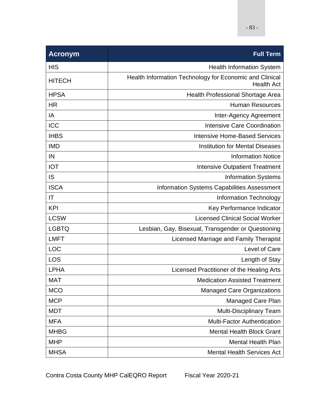| <b>Acronym</b> | <b>Full Term</b>                                                             |
|----------------|------------------------------------------------------------------------------|
| <b>HIS</b>     | <b>Health Information System</b>                                             |
| <b>HITECH</b>  | Health Information Technology for Economic and Clinical<br><b>Health Act</b> |
| <b>HPSA</b>    | <b>Health Professional Shortage Area</b>                                     |
| <b>HR</b>      | <b>Human Resources</b>                                                       |
| IA             | Inter-Agency Agreement                                                       |
| <b>ICC</b>     | <b>Intensive Care Coordination</b>                                           |
| <b>IHBS</b>    | <b>Intensive Home-Based Services</b>                                         |
| <b>IMD</b>     | <b>Institution for Mental Diseases</b>                                       |
| IN             | <b>Information Notice</b>                                                    |
| <b>IOT</b>     | <b>Intensive Outpatient Treatment</b>                                        |
| IS             | <b>Information Systems</b>                                                   |
| <b>ISCA</b>    | Information Systems Capabilities Assessment                                  |
| IT             | <b>Information Technology</b>                                                |
| <b>KPI</b>     | Key Performance Indicator                                                    |
| <b>LCSW</b>    | <b>Licensed Clinical Social Worker</b>                                       |
| <b>LGBTQ</b>   | Lesbian, Gay, Bisexual, Transgender or Questioning                           |
| <b>LMFT</b>    | Licensed Marriage and Family Therapist                                       |
| <b>LOC</b>     | Level of Care                                                                |
| <b>LOS</b>     | Length of Stay                                                               |
| <b>LPHA</b>    | Licensed Practitioner of the Healing Arts                                    |
| <b>MAT</b>     | <b>Medication Assisted Treatment</b>                                         |
| <b>MCO</b>     | <b>Managed Care Organizations</b>                                            |
| <b>MCP</b>     | <b>Managed Care Plan</b>                                                     |
| <b>MDT</b>     | <b>Multi-Disciplinary Team</b>                                               |
| <b>MFA</b>     | <b>Multi-Factor Authentication</b>                                           |
| <b>MHBG</b>    | <b>Mental Health Block Grant</b>                                             |
| <b>MHP</b>     | <b>Mental Health Plan</b>                                                    |
| <b>MHSA</b>    | <b>Mental Health Services Act</b>                                            |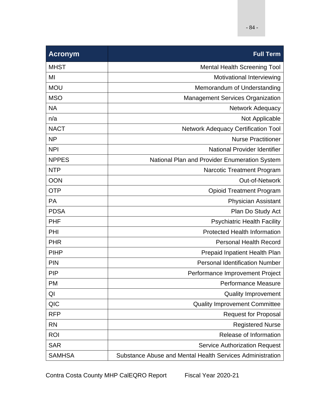| <b>Acronym</b> | <b>Full Term</b>                                          |
|----------------|-----------------------------------------------------------|
| <b>MHST</b>    | <b>Mental Health Screening Tool</b>                       |
| MI             | Motivational Interviewing                                 |
| <b>MOU</b>     | Memorandum of Understanding                               |
| <b>MSO</b>     | <b>Management Services Organization</b>                   |
| <b>NA</b>      | Network Adequacy                                          |
| n/a            | Not Applicable                                            |
| <b>NACT</b>    | <b>Network Adequacy Certification Tool</b>                |
| <b>NP</b>      | <b>Nurse Practitioner</b>                                 |
| <b>NPI</b>     | National Provider Identifier                              |
| <b>NPPES</b>   | National Plan and Provider Enumeration System             |
| <b>NTP</b>     | <b>Narcotic Treatment Program</b>                         |
| <b>OON</b>     | Out-of-Network                                            |
| <b>OTP</b>     | <b>Opioid Treatment Program</b>                           |
| <b>PA</b>      | <b>Physician Assistant</b>                                |
| <b>PDSA</b>    | Plan Do Study Act                                         |
| <b>PHF</b>     | <b>Psychiatric Health Facility</b>                        |
| PHI            | <b>Protected Health Information</b>                       |
| <b>PHR</b>     | <b>Personal Health Record</b>                             |
| <b>PIHP</b>    | Prepaid Inpatient Health Plan                             |
| <b>PIN</b>     | <b>Personal Identification Number</b>                     |
| <b>PIP</b>     | Performance Improvement Project                           |
| <b>PM</b>      | <b>Performance Measure</b>                                |
| QI             | <b>Quality Improvement</b>                                |
| QIC            | <b>Quality Improvement Committee</b>                      |
| <b>RFP</b>     | <b>Request for Proposal</b>                               |
| <b>RN</b>      | <b>Registered Nurse</b>                                   |
| <b>ROI</b>     | Release of Information                                    |
| <b>SAR</b>     | <b>Service Authorization Request</b>                      |
| <b>SAMHSA</b>  | Substance Abuse and Mental Health Services Administration |